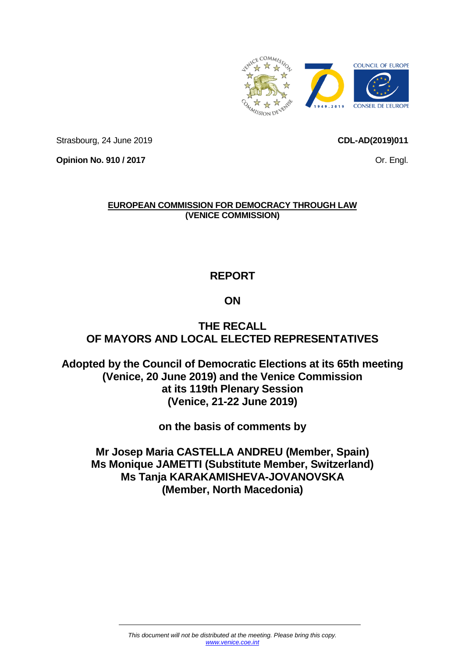

Strasbourg, 24 June 2019

<span id="page-0-0"></span>**CDL-AD(2019)011**

Or. Engl.

**Opinion No. 910 / 2017**

## **EUROPEAN COMMISSION FOR DEMOCRACY THROUGH LAW (VENICE COMMISSION)**

# **REPORT**

# **ON**

# **THE RECALL OF MAYORS AND LOCAL ELECTED REPRESENTATIVES**

**Adopted by the Council of Democratic Elections at its 65th meeting (Venice, 20 June 2019) and the Venice Commission at its 119th Plenary Session (Venice, 21-22 June 2019)**

## **on the basis of comments by**

**Mr Josep Maria CASTELLA ANDREU (Member, Spain) Ms Monique JAMETTI (Substitute Member, Switzerland) Ms Tanja KARAKAMISHEVA-JOVANOVSKA (Member, North Macedonia)**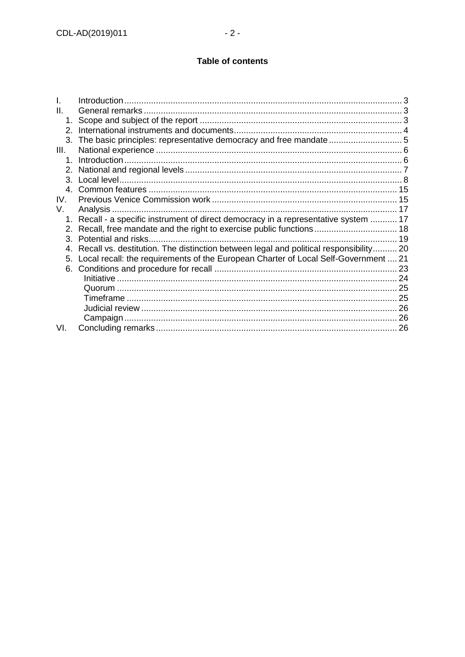## Table of contents

| II.          |                                                                                       |  |
|--------------|---------------------------------------------------------------------------------------|--|
| 1.           |                                                                                       |  |
| 2.           |                                                                                       |  |
| 3.           |                                                                                       |  |
| III.         |                                                                                       |  |
| $\mathbf 1$  |                                                                                       |  |
|              |                                                                                       |  |
| $\mathbf{3}$ |                                                                                       |  |
| 4            |                                                                                       |  |
| IV.          |                                                                                       |  |
| V.           |                                                                                       |  |
| 1.           | Recall - a specific instrument of direct democracy in a representative system  17     |  |
| 2.           |                                                                                       |  |
| 3.           | Potential and risks.                                                                  |  |
|              | Recall vs. destitution. The distinction between legal and political responsibility 20 |  |
| 5.           | Local recall: the requirements of the European Charter of Local Self-Government  21   |  |
| 6.           |                                                                                       |  |
|              |                                                                                       |  |
|              |                                                                                       |  |
|              |                                                                                       |  |
|              |                                                                                       |  |
|              |                                                                                       |  |
| VI.          |                                                                                       |  |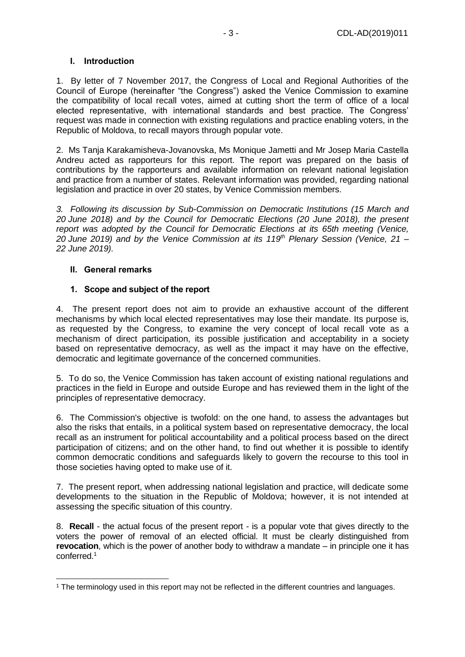#### <span id="page-2-0"></span>**I. Introduction**

1. By letter of 7 November 2017, the Congress of Local and Regional Authorities of the Council of Europe (hereinafter "the Congress") asked the Venice Commission to examine the compatibility of local recall votes, aimed at cutting short the term of office of a local elected representative, with international standards and best practice. The Congress' request was made in connection with existing regulations and practice enabling voters, in the Republic of Moldova, to recall mayors through popular vote.

2. [Ms Tanja Karakamisheva-Jovanovska,](http://www.venice.coe.int/WebForms/pages/?p=cv_1634) Ms Monique Jametti and [Mr Josep Maria Castella](http://www.venice.coe.int/WebForms/pages/?p=cv_3567) [Andreu](http://www.venice.coe.int/WebForms/pages/?p=cv_3567) acted as rapporteurs for this report. The report was prepared on the basis of contributions by the rapporteurs and available information on relevant national legislation and practice from a number of states. Relevant information was provided, regarding national legislation and practice in over 20 states, by Venice Commission members.

*3. Following its discussion by Sub-Commission on Democratic Institutions (15 March and 20 June 2018) and by the Council for Democratic Elections (20 June 2018), the present report was adopted by the Council for Democratic Elections at its 65th meeting (Venice, 20 June 2019) and by the Venice Commission at its 119th Plenary Session (Venice, 21 – 22 June 2019).*

#### <span id="page-2-1"></span>**II. General remarks**

#### <span id="page-2-2"></span>**1. Scope and subject of the report**

4. The present report does not aim to provide an exhaustive account of the different mechanisms by which local elected representatives may lose their mandate. Its purpose is, as requested by the Congress, to examine the very concept of local recall vote as a mechanism of direct participation, its possible justification and acceptability in a society based on representative democracy, as well as the impact it may have on the effective, democratic and legitimate governance of the concerned communities.

5. To do so, the Venice Commission has taken account of existing national regulations and practices in the field in Europe and outside Europe and has reviewed them in the light of the principles of representative democracy.

6. The Commission's objective is twofold: on the one hand, to assess the advantages but also the risks that entails, in a political system based on representative democracy, the local recall as an instrument for political accountability and a political process based on the direct participation of citizens; and on the other hand, to find out whether it is possible to identify common democratic conditions and safeguards likely to govern the recourse to this tool in those societies having opted to make use of it.

7. The present report, when addressing national legislation and practice, will dedicate some developments to the situation in the Republic of Moldova; however, it is not intended at assessing the specific situation of this country.

8. **Recall** - the actual focus of the present report - is a popular vote that gives directly to the voters the power of removal of an elected official. It must be clearly distinguished from **revocation**, which is the power of another body to withdraw a mandate – in principle one it has conferred.<sup>1</sup>

<sup>-</sup><sup>1</sup> The terminology used in this report may not be reflected in the different countries and languages.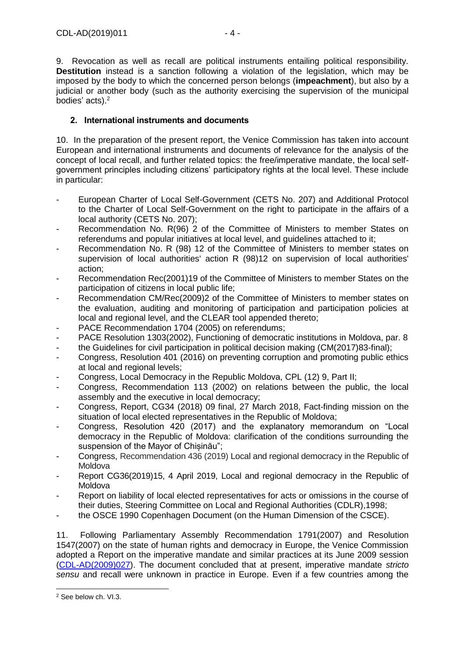9. Revocation as well as recall are political instruments entailing political responsibility. **Destitution** instead is a sanction following a violation of the legislation, which may be imposed by the body to which the concerned person belongs (**impeachment**), but also by a judicial or another body (such as the authority exercising the supervision of the municipal bodies' acts). 2

## <span id="page-3-0"></span>**2. International instruments and documents**

10. In the preparation of the present report, the Venice Commission has taken into account European and international instruments and documents of relevance for the analysis of the concept of local recall, and further related topics: the free/imperative mandate, the local selfgovernment principles including citizens' participatory rights at the local level. These include in particular:

- European Charter of Local Self-Government (CETS No. 207) and Additional Protocol to the Charter of Local Self-Government on the right to participate in the affairs of a local authority (CETS No. 207);
- Recommendation No. R(96) 2 of the Committee of Ministers to member States on referendums and popular initiatives at local level, and guidelines attached to it;
- Recommendation No. R (98) 12 of the Committee of Ministers to member states on supervision of local authorities' action R [\(98\)12 on supervision of local authorities'](https://www.google.fr/url?sa=t&rct=j&q=&esrc=s&source=web&cd=2&cad=rja&uact=8&ved=0ahUKEwjT2IWDotDYAhXHKOwKHR9fAOIQFggyMAE&url=https%3A%2F%2Flocalgovernment.gov.mt%2Fen%2FDLG%2FLegislation%2FDocuments%2FLegislation%2FR(98)12.pdf&usg=AOvVaw2rfx_Nc5UCs1lSMvNi5EFI)  [action;](https://www.google.fr/url?sa=t&rct=j&q=&esrc=s&source=web&cd=2&cad=rja&uact=8&ved=0ahUKEwjT2IWDotDYAhXHKOwKHR9fAOIQFggyMAE&url=https%3A%2F%2Flocalgovernment.gov.mt%2Fen%2FDLG%2FLegislation%2FDocuments%2FLegislation%2FR(98)12.pdf&usg=AOvVaw2rfx_Nc5UCs1lSMvNi5EFI)
- Recommendation [Rec\(2001\)19](https://search.coe.int/cm/Pages/result_details.aspx?Reference=Rec(2001)19) of the Committee of Ministers to member States on the participation of citizens in local public life;
- Recommendation [CM/Rec\(2009\)2](https://search.coe.int/cm/Pages/result_details.aspx?Reference=CM/Rec(2009)2) of the Committee of Ministers to member states on the evaluation, auditing and monitoring of participation and participation policies at local and regional level, and the CLEAR tool appended thereto;
- PACE Recommendation 1704 (2005) on referendums;
- PACE Resolution 1303(2002), Functioning of democratic institutions in Moldova, par. 8
- the Guidelines for civil participation in political decision making [\(CM\(2017\)83-final\)](https://search.coe.int/cm/Pages/result_details.aspx?Reference=CM(2017)83-final);
- Congress, Resolution 401 (2016) on preventing corruption and promoting public ethics at local and regional levels;
- Congress, Local Democracy in the Republic Moldova, CPL (12) 9, Part II;
- Congress, Recommendation 113 (2002) on relations between the public, the local assembly and the executive in local democracy;
- Congress, Report, CG34 (2018) 09 final, 27 March 2018, Fact-finding mission on the situation of local elected representatives in the Republic of Moldova;
- Congress, Resolution 420 (2017) and the explanatory memorandum on "Local democracy in the Republic of Moldova: clarification of the conditions surrounding the suspension of the Mayor of Chișinău";
- Congress, Recommendation 436 (2019) Local and regional democracy in the Republic of **Moldova**
- Report CG36(2019)15, 4 April 2019, Local and regional democracy in the Republic of Moldova
- Report on liability of local elected representatives for acts or omissions in the course of their duties, Steering Committee on Local and Regional Authorities (CDLR),1998;
- the OSCE 1990 Copenhagen Document (on the Human Dimension of the CSCE).

11. Following Parliamentary Assembly Recommendation 1791(2007) and Resolution 1547(2007) on the state of human rights and democracy in Europe, the Venice Commission adopted a Report on the imperative mandate and similar practices at its June 2009 session [\(CDL-AD\(2009\)027\)](https://www.venice.coe.int/webforms/documents/default.aspx?pdffile=CDL-AD(2009)027-e). The document concluded that at present, imperative mandate *stricto sensu* and recall were unknown in practice in Europe. Even if a few countries among the

<sup>-</sup><sup>2</sup> See below ch. VI.3.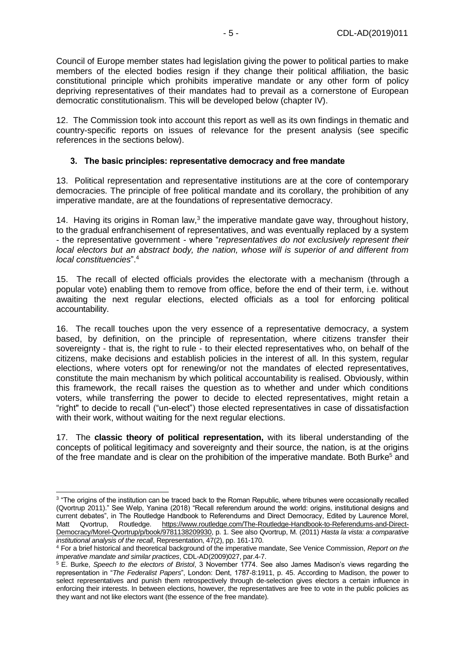Council of Europe member states had legislation giving the power to political parties to make members of the elected bodies resign if they change their political affiliation, the basic constitutional principle which prohibits imperative mandate or any other form of policy depriving representatives of their mandates had to prevail as a cornerstone of European democratic constitutionalism. This will be developed below (chapter IV).

12. The Commission took into account this report as well as its own findings in thematic and country-specific reports on issues of relevance for the present analysis (see specific references in the sections below).

#### <span id="page-4-0"></span>**3. The basic principles: representative democracy and free mandate**

13. Political representation and representative institutions are at the core of contemporary democracies. The principle of free political mandate and its corollary, the prohibition of any imperative mandate, are at the foundations of representative democracy.

14. Having its origins in Roman law,<sup>3</sup> the imperative mandate gave way, throughout history, to the gradual enfranchisement of representatives, and was eventually replaced by a system - the representative government - where "*representatives do not exclusively represent their local electors but an abstract body, the nation, whose will is superior of and different from local constituencies*".<sup>4</sup>

15. The recall of elected officials provides the electorate with a mechanism (through a popular vote) enabling them to remove from office, before the end of their term, i.e. without awaiting the next regular elections, elected officials as a tool for enforcing political accountability.

16. The recall touches upon the very essence of a representative democracy, a system based, by definition, on the principle of representation, where citizens transfer their sovereignty - that is, the right to rule - to their elected representatives who, on behalf of the citizens, make decisions and establish policies in the interest of all. In this system, regular elections, where voters opt for renewing/or not the mandates of elected representatives, constitute the main mechanism by which political accountability is realised. Obviously, within this framework, the recall raises the question as to whether and under which conditions voters, while transferring the power to decide to elected representatives, might retain a "right" to decide to recall ("un-elect") those elected representatives in case of dissatisfaction with their work, without waiting for the next regular elections.

17. The **classic theory of political representation,** with its liberal understanding of the concepts of political legitimacy and sovereignty and their source, the nation, is at the origins of the free mandate and is clear on the prohibition of the imperative mandate. Both Burke<sup>5</sup> and

<sup>&</sup>lt;sup>3</sup> "The origins of the institution can be traced back to the Roman Republic, where tribunes were occasionally recalled (Qvortrup 2011)." See Welp, Yanina (2018) "Recall referendum around the world: origins, institutional designs and current debates", in The Routledge Handbook to Referendums and Direct Democracy, Edited by Laurence Morel, Matt Qvortrup, Routledge. [https://www.routledge.com/The-Routledge-Handbook-to-Referendums-and-Direct-](https://www.routledge.com/The-Routledge-Handbook-to-Referendums-and-Direct-Democracy/Morel-Qvortrup/p/book/9781138209930)[Democracy/Morel-Qvortrup/p/book/9781138209930,](https://www.routledge.com/The-Routledge-Handbook-to-Referendums-and-Direct-Democracy/Morel-Qvortrup/p/book/9781138209930) p. 1. See also Qvortrup, M. (2011) *Hasta la vista: a comparative institutional analysis of the recall*, Representation, 47(2), pp. 161-170.

<sup>4</sup> For a brief historical and theoretical background of the imperative mandate, See Venice Commission, *Report on the imperative mandate and similar practices*, CDL-AD(2009)027, par.4-7.

<sup>5</sup> E. Burke, *Speech to the electors of Bristol*, 3 November 1774. See also James Madison's views regarding the representation in "*The Federalist Papers*", London: Dent, 1787-8:1911, p. 45. According to Madison, the power to select representatives and punish them retrospectively through de-selection gives electors a certain influence in enforcing their interests. In between elections, however, the representatives are free to vote in the public policies as they want and not like electors want (the essence of the free mandate).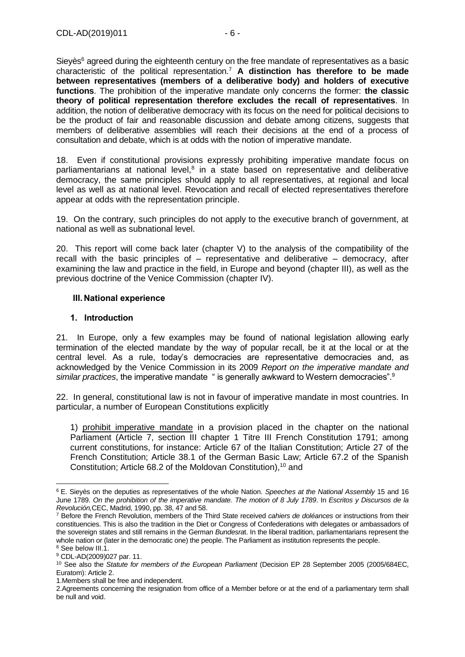Sieyès<sup>6</sup> agreed during the eighteenth century on the free mandate of representatives as a basic characteristic of the political representation.<sup>7</sup> **A distinction has therefore to be made between representatives (members of a deliberative body) and holders of executive functions**. The prohibition of the imperative mandate only concerns the former: **the classic theory of political representation therefore excludes the recall of representatives**. In addition, the notion of deliberative democracy with its focus on the need for political decisions to be the product of fair and reasonable discussion and debate among citizens, suggests that members of deliberative assemblies will reach their decisions at the end of a process of consultation and debate, which is at odds with the notion of imperative mandate.

18. Even if constitutional provisions expressly prohibiting imperative mandate focus on parliamentarians at national level, $8$  in a state based on representative and deliberative democracy, the same principles should apply to all representatives, at regional and local level as well as at national level. Revocation and recall of elected representatives therefore appear at odds with the representation principle.

19. On the contrary, such principles do not apply to the executive branch of government, at national as well as subnational level.

20. This report will come back later (chapter V) to the analysis of the compatibility of the recall with the basic principles of – representative and deliberative – democracy, after examining the law and practice in the field, in Europe and beyond (chapter III), as well as the previous doctrine of the Venice Commission (chapter IV).

#### <span id="page-5-0"></span>**III. National experience**

#### <span id="page-5-1"></span>**1. Introduction**

21. In Europe, only a few examples may be found of national legislation allowing early termination of the elected mandate by the way of popular recall, be it at the local or at the central level. As a rule, today's democracies are representative democracies and, as acknowledged by the Venice Commission in its 2009 *Report on the imperative mandate and similar practices*, the imperative mandate " is generally awkward to Western democracies".<sup>9</sup>

22. In general, constitutional law is not in favour of imperative mandate in most countries. In particular, a number of European Constitutions explicitly

1) prohibit imperative mandate in a provision placed in the chapter on the national Parliament (Article 7, section III chapter 1 Titre III French Constitution 1791; among current constitutions, for instance: Article 67 of the Italian Constitution; Article 27 of the French Constitution; Article 38.1 of the German Basic Law; Article 67.2 of the Spanish Constitution; Article 68.2 of the Moldovan Constitution),<sup>10</sup> and

<sup>-</sup><sup>6</sup> E. Sieyès on the deputies as representatives of the whole Nation. *Speeches at the National Assembly* 15 and 16 June 1789. *On the prohibition of the imperative mandate. The motion of 8 July 1789*. In *Escritos y Discursos de la Revolución,*CEC, Madrid, 1990, pp. 38, 47 and 58.

<sup>7</sup> Before the French Revolution, members of the Third State received *cahiers de doléances* or instructions from their constituencies. This is also the tradition in the Diet or Congress of Confederations with delegates or ambassadors of the sovereign states and still remains in the German *Bundesra*t. In the liberal tradition, parliamentarians represent the whole nation or (later in the democratic one) the people. The Parliament as institution represents the people. <sup>8</sup> See below III.1.

<sup>9</sup> CDL-AD(2009)027 par. 11.

<sup>10</sup> See also the *Statute for members of the European Parliament* (Decision EP 28 September 2005 (2005/684EC, Euratom): Article 2.

<sup>1.</sup>Members shall be free and independent.

<sup>2.</sup>Agreements concerning the resignation from office of a Member before or at the end of a parliamentary term shall be null and void.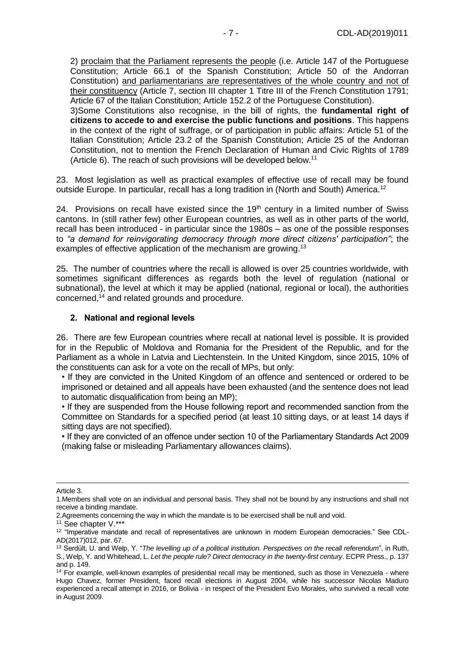2) proclaim that the Parliament represents the people (i.e. Article 147 of the Portuguese Constitution; Article 66.1 of the Spanish Constitution; Article 50 of the Andorran Constitution) and parliamentarians are representatives of the whole country and not of their constituency (Article 7, section III chapter 1 Titre III of the French Constitution 1791; Article 67 of the Italian Constitution; Article 152.2 of the Portuguese Constitution).

3)Some Constitutions also recognise, in the bill of rights, the **fundamental right of citizens to accede to and exercise the public functions and positions**. This happens in the context of the right of suffrage, or of participation in public affairs: Article 51 of the Italian Constitution; Article 23.2 of the Spanish Constitution; Article 25 of the Andorran Constitution, not to mention the French Declaration of Human and Civic Rights of 1789 (Article 6). The reach of such provisions will be developed below.<sup>11</sup>

23. Most legislation as well as practical examples of effective use of recall may be found outside Europe. In particular, recall has a long tradition in (North and South) America.<sup>12</sup>

24. Provisions on recall have existed since the  $19<sup>th</sup>$  century in a limited number of Swiss cantons. In (still rather few) other European countries, as well as in other parts of the world, recall has been introduced - in particular since the 1980s – as one of the possible responses to *"a demand for reinvigorating democracy through more direct citizens' participation"*; the examples of effective application of the mechanism are growing.<sup>13</sup>

25. The number of countries where the recall is allowed is over 25 countries worldwide, with sometimes significant differences as regards both the level of regulation (national or subnational), the level at which it may be applied (national, regional or local), the authorities concerned,<sup>14</sup> and related grounds and procedure.

#### <span id="page-6-0"></span>**2. National and regional levels**

26. There are few European countries where recall at national level is possible. It is provided for in the Republic of Moldova and Romania for the President of the Republic, and for the Parliament as a whole in Latvia and Liechtenstein. In the United Kingdom, since 2015, 10% of the constituents can ask for a vote on the recall of MPs, but only:

• If they are convicted in the United Kingdom of an offence and sentenced or ordered to be imprisoned or detained and all appeals have been exhausted (and the sentence does not lead to automatic disqualification from being an MP);

• If they are suspended from the House following report and recommended sanction from the Committee on Standards for a specified period (at least 10 sitting days, or at least 14 days if sitting days are not specified).

• If they are convicted of an offence under section 10 of the Parliamentary Standards Act 2009 (making false or misleading Parliamentary allowances claims).

<sup>-</sup>Article 3.

<sup>1.</sup>Members shall vote on an individual and personal basis. They shall not be bound by any instructions and shall not receive a binding mandate.

<sup>2.</sup>Agreements concerning the way in which the mandate is to be exercised shall be null and void.

<sup>&</sup>lt;sup>11</sup> See chapter V.\*\*\*

<sup>&</sup>lt;sup>12</sup> "Imperative mandate and recall of representatives are unknown in modern European democracies." See CDL-AD(2017)012, par. 67.

<sup>13</sup> Serdült, U. and Welp, Y. "*The levelling up of a political institution. Perspectives on the recall referendum*", in Ruth, S., Welp, Y. and Whitehead, L. *Let the people rule? Direct democracy in the twenty-first century*. ECPR Press., p. 137 and p. 149.

<sup>&</sup>lt;sup>14</sup> For example, well-known examples of presidential recall may be mentioned, such as those in Venezuela - where Hugo Chavez, former President, faced recall elections in August 2004, while his successor Nicolas Maduro experienced a recall attempt in 2016, or Bolivia - in respect of the President Evo Morales, who survived a recall vote in August 2009.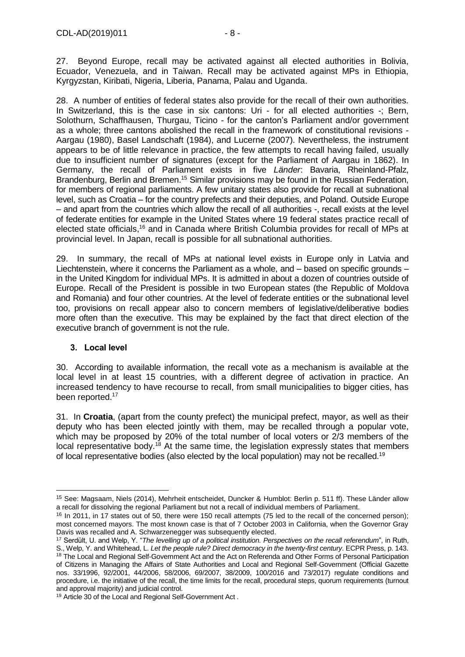27. Beyond Europe, recall may be activated against all elected authorities in Bolivia, Ecuador, Venezuela, and in Taiwan. Recall may be activated against MPs in Ethiopia, Kyrgyzstan, Kiribati, Nigeria, Liberia, Panama, Palau and Uganda.

28. A number of entities of federal states also provide for the recall of their own authorities. In Switzerland, this is the case in six cantons: Uri - for all elected authorities -; Bern, Solothurn, Schaffhausen, Thurgau, Ticino - for the canton's Parliament and/or government as a whole; three cantons abolished the recall in the framework of constitutional revisions - Aargau (1980), Basel Landschaft (1984), and Lucerne (2007). Nevertheless, the instrument appears to be of little relevance in practice, the few attempts to recall having failed, usually due to insufficient number of signatures (except for the Parliament of Aargau in 1862). In Germany, the recall of Parliament exists in five *Länder*: Bavaria, Rheinland-Pfalz, Brandenburg, Berlin and Bremen.<sup>15</sup> Similar provisions may be found in the Russian Federation, for members of regional parliaments. A few unitary states also provide for recall at subnational level, such as Croatia – for the country prefects and their deputies, and Poland. Outside Europe – and apart from the countries which allow the recall of all authorities -, recall exists at the level of federate entities for example in the United States where 19 federal states practice recall of elected state officials,<sup>16</sup> and in Canada where British Columbia provides for recall of MPs at provincial level. In Japan, recall is possible for all subnational authorities.

29. In summary, the recall of MPs at national level exists in Europe only in Latvia and Liechtenstein, where it concerns the Parliament as a whole, and – based on specific grounds – in the United Kingdom for individual MPs. It is admitted in about a dozen of countries outside of Europe. Recall of the President is possible in two European states (the Republic of Moldova and Romania) and four other countries. At the level of federate entities or the subnational level too, provisions on recall appear also to concern members of legislative/deliberative bodies more often than the executive. This may be explained by the fact that direct election of the executive branch of government is not the rule.

#### <span id="page-7-0"></span>**3. Local level**

-

30. According to available information, the recall vote as a mechanism is available at the local level in at least 15 countries, with a different degree of activation in practice. An increased tendency to have recourse to recall, from small municipalities to bigger cities, has been reported.<sup>17</sup>

31. In **Croatia**, (apart from the county prefect) the municipal prefect, mayor, as well as their deputy who has been elected jointly with them, may be recalled through a popular vote, which may be proposed by 20% of the total number of local voters or 2/3 members of the local representative body.<sup>18</sup> At the same time, the legislation expressly states that members of local representative bodies (also elected by the local population) may not be recalled.<sup>19</sup>

<sup>15</sup> See: Magsaam, Niels (2014), Mehrheit entscheidet, Duncker & Humblot: Berlin p. 511 ff). These Länder allow a recall for dissolving the regional Parliament but not a recall of individual members of Parliament.

<sup>&</sup>lt;sup>16</sup> In 2011, in 17 states out of 50, there were 150 recall attempts (75 led to the recall of the concerned person); most concerned mayors. The most known case is that of 7 October 2003 in California, when the Governor Gray Davis was recalled and A. Schwarzenegger was subsequently elected.

<sup>17</sup> Serdült, U. and Welp, Y. "*The levelling up of a political institution. Perspectives on the recall referendum*", in Ruth, S., Welp, Y. and Whitehead, L. *Let the people rule? Direct democracy in the twenty-first century*. ECPR Press, p. 143.

<sup>&</sup>lt;sup>18</sup> The Local and Regional Self-Government Act and the Act on Referenda and Other Forms of Personal Participation of Citizens in Managing the Affairs of State Authorities and Local and Regional Self-Government (Official Gazette nos. 33/1996, 92/2001, 44/2006, 58/2006, 69/2007, 38/2009, 100/2016 and 73/2017) regulate conditions and procedure, i.e. the initiative of the recall, the time limits for the recall, procedural steps, quorum requirements (turnout and approval majority) and judicial control.

<sup>&</sup>lt;sup>19</sup> Article 30 of the Local and Regional Self-Government Act.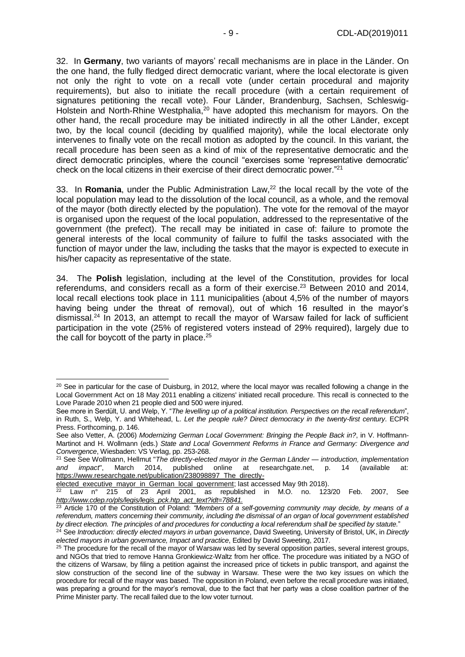32. In **Germany**, two variants of mayors' recall mechanisms are in place in the Länder. On the one hand, the fully fledged direct democratic variant, where the local electorate is given not only the right to vote on a recall vote (under certain procedural and majority requirements), but also to initiate the recall procedure (with a certain requirement of signatures petitioning the recall vote). Four Länder, Brandenburg, Sachsen, Schleswig-Holstein and North-Rhine Westphalia,<sup>20</sup> have adopted this mechanism for mayors. On the other hand, the recall procedure may be initiated indirectly in all the other Länder, except two, by the local council (deciding by qualified majority), while the local electorate only intervenes to finally vote on the recall motion as adopted by the council. In this variant, the recall procedure has been seen as a kind of mix of the representative democratic and the direct democratic principles, where the council "exercises some 'representative democratic' check on the local citizens in their exercise of their direct democratic power."<sup>21</sup>

33. In **Romania**, under the Public Administration Law,<sup>22</sup> the local recall by the vote of the local population may lead to the dissolution of the local council, as a whole, and the removal of the mayor (both directly elected by the population). The vote for the removal of the mayor is organised upon the request of the local population, addressed to the representative of the government (the prefect). The recall may be initiated in case of: failure to promote the general interests of the local community of failure to fulfil the tasks associated with the function of mayor under the law, including the tasks that the mayor is expected to execute in his/her capacity as representative of the state.

34. The **Polish** legislation, including at the level of the Constitution, provides for local referendums, and considers recall as a form of their exercise.<sup>23</sup> Between 2010 and 2014, local recall elections took place in 111 municipalities (about 4,5% of the number of mayors having being under the threat of removal), out of which 16 resulted in the mayor's dismissal.<sup>24</sup> In 2013, an attempt to recall the mayor of Warsaw failed for lack of sufficient participation in the vote (25% of registered voters instead of 29% required), largely due to the call for boycott of the party in place.<sup>25</sup>

[elected\\_executive\\_mayor\\_in\\_German\\_local\\_government;](https://www.researchgate.net/publication/238098897_The_directly-elected_executive_mayor_in_German_local_government) last accessed May 9th 2018).

<sup>&</sup>lt;sup>20</sup> See in particular for the case of Duisburg, in 2012, where the local mayor was recalled following a change in the Local Government Act on 18 May 2011 enabling a citizens' initiated recall procedure. This recall is connected to the Love Parade 2010 when 21 people died and 500 were injured.

See more in Serdült, U. and Welp, Y. "*The levelling up of a political institution. Perspectives on the recall referendum*", in Ruth, S., Welp, Y. and Whitehead, L. *Let the people rule? Direct democracy in the twenty-first century*. ECPR Press. Forthcoming, p. 146.

See also Vetter, A. (2006) *Modernizing German Local Government: Bringing the People Back in?*, in V. Hoffmann-Martinot and H. Wollmann (eds.) *State and Local Government Reforms in France and Germany: Divergence and Convergence*, Wiesbaden: VS Verlag, pp. 253-268.

<sup>21</sup> See See Wollmann, Hellmut "*The directly-elected mayor in the German Länder — introduction, implementation and impact*", March 2014, published online at researchgate.net, p. 14 (available at: [https://www.researchgate.net/publication/238098897\\_The\\_directly-](https://www.researchgate.net/publication/238098897_The_directly-elected_executive_mayor_in_German_local_government)

Law n° 215 of 23 April 2001, as republished in M.O. no. 123/20 Feb. 2007, See *[http://www.cdep.ro/pls/legis/legis\\_pck.htp\\_act\\_text?idt=78841.](http://www.cdep.ro/pls/legis/legis_pck.htp_act_text?idt=78841)*

<sup>&</sup>lt;sup>23</sup> Article 170 of the Constitution of Poland: "Members of a self-governing community may decide, by means of a *referendum, matters concerning their community, including the dismissal of an organ of local government established by direct election. The principles of and procedures for conducting a local referendum shall be specified by statute.*"

<sup>24</sup> See *Introduction: directly elected mayors in urban governance*, David Sweeting, University of Bristol, UK, in *Directly elected mayors in urban governance, Impact and practice*, Edited by David Sweeting, 2017.

<sup>&</sup>lt;sup>25</sup> The procedure for the recall of the mayor of Warsaw was led by several opposition parties, several interest groups, and NGOs that tried to remove Hanna Gronkiewicz-Waltz from her office. The procedure was initiated by a NGO of the citizens of Warsaw, by filing a petition against the increased price of tickets in public transport, and against the slow construction of the second line of the subway in Warsaw. These were the two key issues on which the procedure for recall of the mayor was based. The opposition in Poland, even before the recall procedure was initiated, was preparing a ground for the mayor's removal, due to the fact that her party was a close coalition partner of the Prime Minister party. The recall failed due to the low voter turnout.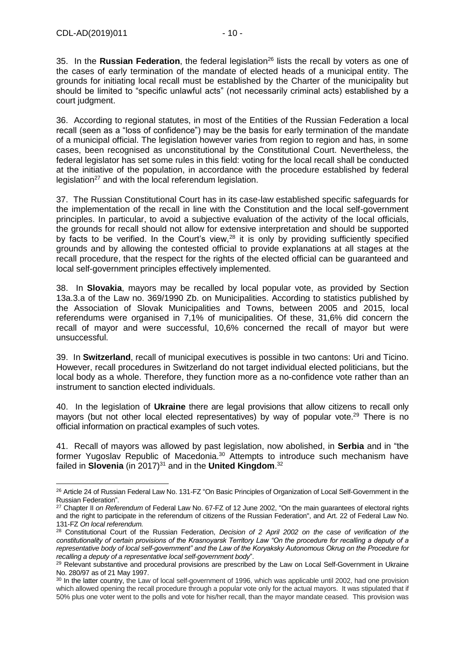-

35. In the Russian Federation, the federal legislation<sup>26</sup> lists the recall by voters as one of the cases of early termination of the mandate of elected heads of a municipal entity. The grounds for initiating local recall must be established by the Charter of the municipality but should be limited to "specific unlawful acts" (not necessarily criminal acts) established by a court judgment.

36. According to regional statutes, in most of the Entities of the Russian Federation a local recall (seen as a "loss of confidence") may be the basis for early termination of the mandate of a municipal official. The legislation however varies from region to region and has, in some cases, been recognised as unconstitutional by the Constitutional Court. Nevertheless, the federal legislator has set some rules in this field: voting for the local recall shall be conducted at the initiative of the population, in accordance with the procedure established by federal legislation<sup>27</sup> and with the local referendum legislation.

37. The Russian Constitutional Court has in its case-law established specific safeguards for the implementation of the recall in line with the Constitution and the local self-government principles. In particular, to avoid a subjective evaluation of the activity of the local officials, the grounds for recall should not allow for extensive interpretation and should be supported by facts to be verified. In the Court's view,<sup>28</sup> it is only by providing sufficiently specified grounds and by allowing the contested official to provide explanations at all stages at the recall procedure, that the respect for the rights of the elected official can be guaranteed and local self-government principles effectively implemented.

38. In **Slovakia**, mayors may be recalled by local popular vote, as provided by Section 13a.3.a of the Law no. 369/1990 Zb. on Municipalities. According to statistics published by the Association of Slovak Municipalities and Towns, between 2005 and 2015, local referendums were organised in 7,1% of municipalities. Of these, 31,6% did concern the recall of mayor and were successful, 10,6% concerned the recall of mayor but were unsuccessful.

39. In **Switzerland**, recall of municipal executives is possible in two cantons: Uri and Ticino. However, recall procedures in Switzerland do not target individual elected politicians, but the local body as a whole. Therefore, they function more as a no-confidence vote rather than an instrument to sanction elected individuals.

40. In the legislation of **Ukraine** there are legal provisions that allow citizens to recall only mayors (but not other local elected representatives) by way of popular vote.<sup>29</sup> There is no official information on practical examples of such votes.

41. Recall of mayors was allowed by past legislation, now abolished, in **Serbia** and in "the former Yugoslav Republic of Macedonia.<sup>30</sup> Attempts to introduce such mechanism have failed in **Slovenia** (in 2017)<sup>31</sup> and in the **United Kingdom**.<sup>32</sup>

<sup>&</sup>lt;sup>26</sup> Article 24 of Russian Federal Law No. 131-FZ "On Basic Principles of Organization of Local Self-Government in the Russian Federation".

<sup>27</sup> Chapter II *on Referendum* of Federal Law No. 67-FZ of 12 June 2002, "On the main guarantees of electoral rights and the right to participate in the referendum of citizens of the Russian Federation", and Art. 22 of Federal Law No. 131-FZ *On local referendum.*

<sup>28</sup> Constitutional Court of the Russian Federation, *Decision of 2 April 2002 on the case of verification of the constitutionality of certain provisions of the Krasnoyarsk Territory Law "On the procedure for recalling a deputy of a representative body of local self-government" and the Law of the Koryaksky Autonomous Okrug on the Procedure for recalling a deputy of a representative local self-government body*".

<sup>&</sup>lt;sup>29</sup> Relevant substantive and procedural provisions are prescribed by the Law on Local Self-Government in Ukraine No. 280/97 as of 21 May 1997.

<sup>&</sup>lt;sup>30</sup> In the latter country, the Law of local self-government of 1996, which was applicable until 2002, had one provision which allowed opening the recall procedure through a popular vote only for the actual mayors. It was stipulated that if 50% plus one voter went to the polls and vote for his/her recall, than the mayor mandate ceased. This provision was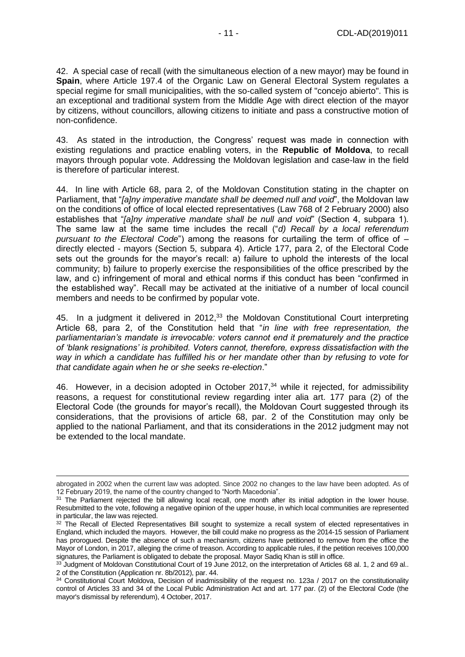42. A special case of recall (with the simultaneous election of a new mayor) may be found in **Spain**, where Article 197.4 of the Organic Law on General Electoral System regulates a special regime for small municipalities, with the so-called system of "conceio abierto". This is an exceptional and traditional system from the Middle Age with direct election of the mayor by citizens, without councillors, allowing citizens to initiate and pass a constructive motion of non-confidence.

43. As stated in the introduction, the Congress' request was made in connection with existing regulations and practice enabling voters, in the **Republic of Moldova**, to recall mayors through popular vote. Addressing the Moldovan legislation and case-law in the field is therefore of particular interest.

44. In line with Article 68, para 2, of the Moldovan Constitution stating in the chapter on Parliament, that "*[a]ny imperative mandate shall be deemed null and void*", the Moldovan law on the conditions of office of local elected representatives (Law 768 of 2 February 2000) also establishes that "*[a]ny imperative mandate shall be null and void*" (Section 4, subpara 1). The same law at the same time includes the recall ("*d) Recall by a local referendum pursuant to the Electoral Code*") among the reasons for curtailing the term of office of – directly elected - mayors (Section 5, subpara 4). Article 177, para 2, of the Electoral Code sets out the grounds for the mayor's recall: a) failure to uphold the interests of the local community; b) failure to properly exercise the responsibilities of the office prescribed by the law, and c) infringement of moral and ethical norms if this conduct has been "confirmed in the established way". Recall may be activated at the initiative of a number of local council members and needs to be confirmed by popular vote.

45. In a judgment it delivered in 2012,<sup>33</sup> the Moldovan Constitutional Court interpreting Article 68, para 2, of the Constitution held that "*in line with free representation, the parliamentarian's mandate is irrevocable: voters cannot end it prematurely and the practice of 'blank resignations' is prohibited. Voters cannot, therefore, express dissatisfaction with the way in which a candidate has fulfilled his or her mandate other than by refusing to vote for that candidate again when he or she seeks re-election*."

46. However, in a decision adopted in October 2017,<sup>34</sup> while it rejected, for admissibility reasons, a request for constitutional review regarding inter alia art. 177 para (2) of the Electoral Code (the grounds for mayor's recall), the Moldovan Court suggested through its considerations, that the provisions of article 68, par. 2 of the Constitution may only be applied to the national Parliament, and that its considerations in the 2012 judgment may not be extended to the local mandate.

abrogated in 2002 when the current law was adopted. Since 2002 no changes to the law have been adopted. As of 12 February 2019, the name of the country changed to "North Macedonia".

<sup>&</sup>lt;sup>31</sup> The Parliament rejected the bill allowing local recall, one month after its initial adoption in the lower house. Resubmitted to the vote, following a negative opinion of the upper house, in which local communities are represented in particular, the law was rejected.

<sup>&</sup>lt;sup>32</sup> The Recall of Elected Representatives Bill sought to systemize a recall system of elected representatives in England, which included the mayors. However, the bill could make no progress as the 2014-15 session of Parliament has prorogued. Despite the absence of such a mechanism, citizens have petitioned to remove from the office the Mayor of London, in 2017, alleging the crime of treason. According to applicable rules, if the petition receives 100,000 signatures, the Parliament is obligated to debate the proposal. Mayor Sadiq Khan is still in office.

<sup>33</sup> Judament of Moldovan Constitutional Court of 19 June 2012, on the interpretation of Articles 68 al. 1, 2 and 69 al.. 2 of the Constitution (Application nr. 8b/2012), par. 44.

<sup>34</sup> Constitutional Court Moldova, Decision of inadmissibility of the request no. 123a / 2017 on the constitutionality control of Articles 33 and 34 of the Local Public Administration Act and art. 177 par. (2) of the Electoral Code (the mayor's dismissal by referendum), 4 October, 2017.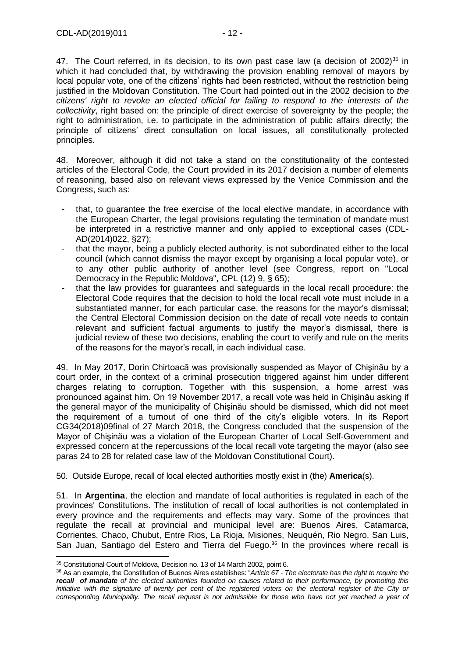47. The Court referred, in its decision, to its own past case law (a decision of  $2002$ <sup>35</sup> in which it had concluded that, by withdrawing the provision enabling removal of mayors by local popular vote, one of the citizens' rights had been restricted, without the restriction being justified in the Moldovan Constitution. The Court had pointed out in the 2002 decision to *the citizens' right to revoke an elected official for failing to respond to the interests of the collectivity*, right based on: the principle of direct exercise of sovereignty by the people; the right to administration, i.e. to participate in the administration of public affairs directly; the principle of citizens' direct consultation on local issues, all constitutionally protected principles.

48. Moreover, although it did not take a stand on the constitutionality of the contested articles of the Electoral Code, the Court provided in its 2017 decision a number of elements of reasoning, based also on relevant views expressed by the Venice Commission and the Congress, such as:

- that, to guarantee the free exercise of the local elective mandate, in accordance with the European Charter, the legal provisions regulating the termination of mandate must be interpreted in a restrictive manner and only applied to exceptional cases (CDL-AD(2014)022, §27);
- that the mayor, being a publicly elected authority, is not subordinated either to the local council (which cannot dismiss the mayor except by organising a local popular vote), or to any other public authority of another level (see Congress, report on "Local Democracy in the Republic Moldova", CPL (12) 9, § 65);
- that the law provides for quarantees and safeguards in the local recall procedure: the Electoral Code requires that the decision to hold the local recall vote must include in a substantiated manner, for each particular case, the reasons for the mayor's dismissal; the Central Electoral Commission decision on the date of recall vote needs to contain relevant and sufficient factual arguments to justify the mayor's dismissal, there is judicial review of these two decisions, enabling the court to verify and rule on the merits of the reasons for the mayor's recall, in each individual case.

49. In May 2017, Dorin Chirtoacă was provisionally suspended as Mayor of Chişinău by a court order, in the context of a criminal prosecution triggered against him under different charges relating to corruption. Together with this suspension, a home arrest was pronounced against him. On 19 November 2017, a recall vote was held in Chişinău asking if the general mayor of the municipality of Chişinău should be dismissed, which did not meet the requirement of a turnout of one third of the city's eligible voters. In its Report CG34(2018)09final of 27 March 2018, the Congress concluded that the suspension of the Mayor of Chişinău was a violation of the European Charter of Local Self-Government and expressed concern at the repercussions of the local recall vote targeting the mayor (also see paras 24 to 28 for related case law of the Moldovan Constitutional Court).

50. Outside Europe, recall of local elected authorities mostly exist in (the) **America**(s).

51. In **Argentina**, the election and mandate of local authorities is regulated in each of the provinces' Constitutions. The institution of recall of local authorities is not contemplated in every province and the requirements and effects may vary. Some of the provinces that regulate the recall at provincial and municipal level are: Buenos Aires, Catamarca, Corrientes, Chaco, Chubut, Entre Rios, La Rioja, Misiones, Neuquén, Rio Negro, San Luis, San Juan, Santiago del Estero and Tierra del Fuego.<sup>36</sup> In the provinces where recall is

<sup>35</sup> Constitutional Court of Moldova, Decision no. 13 of 14 March 2002, point 6.

<sup>36</sup> As an example, the Constitution of Buenos Aires establishes: "*Article 67 - The electorate has the right to require the recall of mandate of the elected authorities founded on causes related to their performance, by promoting this initiative with the signature of twenty per cent of the registered voters on the electoral register of the City or corresponding Municipality. The recall request is not admissible for those who have not yet reached a year of*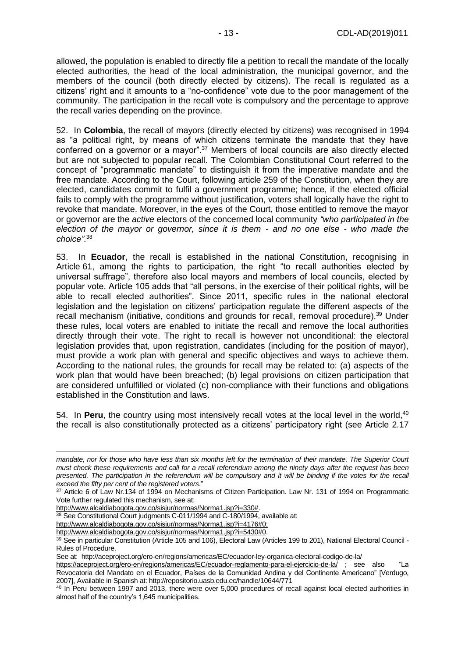allowed, the population is enabled to directly file a petition to recall the mandate of the locally elected authorities, the head of the local administration, the municipal governor, and the members of the council (both directly elected by citizens). The recall is regulated as a citizens' right and it amounts to a "no-confidence" vote due to the poor management of the community. The participation in the recall vote is compulsory and the percentage to approve the recall varies depending on the province.

52. In **Colombia**, the recall of mayors (directly elected by citizens) was recognised in 1994 as "a political right, by means of which citizens terminate the mandate that they have conferred on a governor or a mayor".<sup>37</sup> Members of local councils are also directly elected but are not subjected to popular recall. The Colombian Constitutional Court referred to the concept of "programmatic mandate" to distinguish it from the imperative mandate and the free mandate. According to the Court, following article 259 of the Constitution, when they are elected, candidates commit to fulfil a government programme; hence, if the elected official fails to comply with the programme without justification, voters shall logically have the right to revoke that mandate. Moreover, in the eyes of the Court, those entitled to remove the mayor or governor are the *active* electors of the concerned local community *"who participated in the election of the mayor or governor, since it is them - and no one else - who made the choice"*. 38

53. In **Ecuador**, the recall is established in the national Constitution, recognising in Article 61, among the rights to participation, the right "to recall authorities elected by universal suffrage", therefore also local mayors and members of local councils, elected by popular vote. Article 105 adds that "all persons, in the exercise of their political rights, will be able to recall elected authorities". Since 2011, specific rules in the national electoral legislation and the legislation on citizens' participation regulate the different aspects of the recall mechanism (initiative, conditions and grounds for recall, removal procedure).<sup>39</sup> Under these rules, local voters are enabled to initiate the recall and remove the local authorities directly through their vote. The right to recall is however not unconditional: the electoral legislation provides that, upon registration, candidates (including for the position of mayor), must provide a work plan with general and specific objectives and ways to achieve them. According to the national rules, the grounds for recall may be related to: (a) aspects of the work plan that would have been breached; (b) legal provisions on citizen participation that are considered unfulfilled or violated (c) non-compliance with their functions and obligations established in the Constitution and laws.

54. In **Peru**, the country using most intensively recall votes at the local level in the world.<sup>40</sup> the recall is also constitutionally protected as a citizens' participatory right (see Article 2.17

[http://www.alcaldiabogota.gov.co/sisjur/normas/Norma1.jsp?i=330#.](http://www.alcaldiabogota.gov.co/sisjur/normas/Norma1.jsp?i=330)

-

[http://www.alcaldiabogota.gov.co/sisjur/normas/Norma1.jsp?i=4176#0;](http://www.alcaldiabogota.gov.co/sisjur/normas/Norma1.jsp?i=4176#0)

[http://www.alcaldiabogota.gov.co/sisjur/normas/Norma1.jsp?i=5430#0.](http://www.alcaldiabogota.gov.co/sisjur/normas/Norma1.jsp?i=5430#0)

See at:<http://aceproject.org/ero-en/regions/americas/EC/ecuador-ley-organica-electoral-codigo-de-la/>

*mandate, nor for those who have less than six months left for the termination of their mandate. The Superior Court must check these requirements and call for a recall referendum among the ninety days after the request has been presented. The participation in the referendum will be compulsory and it will be binding if the votes for the recall exceed the fifty per cent of the registered voters*."

<sup>37</sup> Article 6 of Law Nr.134 of 1994 on Mechanisms of Citizen Participation. Law Nr. 131 of 1994 on Programmatic Vote further regulated this mechanism, see at:

<sup>&</sup>lt;sup>38</sup> See Constitutional Court judgments C-011/1994 and C-180/1994, available at:

<sup>39</sup> See in particular Constitution (Article 105 and 106), Electoral Law (Articles 199 to 201), National Electoral Council -Rules of Procedure.

<https://aceproject.org/ero-en/regions/americas/EC/ecuador-reglamento-para-el-ejercicio-de-la/> ; see also "La Revocatoria del Mandato en el Ecuador, Países de la Comunidad Andina y del Continente Americano" [Verdugo, 2007], Available in Spanish at:<http://repositorio.uasb.edu.ec/handle/10644/771>

<sup>&</sup>lt;sup>40</sup> In Peru between 1997 and 2013, there were over 5,000 procedures of recall against local elected authorities in almost half of the country's 1,645 municipalities.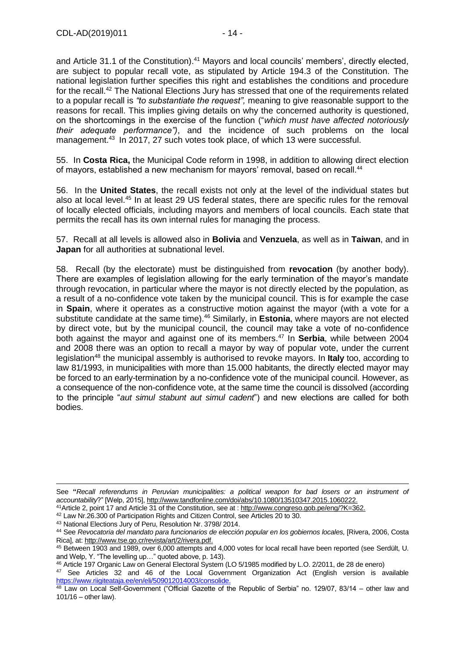and Article 31.1 of the Constitution).<sup>41</sup> Mayors and local councils' members', directly elected, are subject to popular recall vote, as stipulated by Article 194.3 of the Constitution. The national legislation further specifies this right and establishes the conditions and procedure for the recall.<sup>42</sup> The National Elections Jury has stressed that one of the requirements related to a popular recall is *"to substantiate the request",* meaning to give reasonable support to the reasons for recall. This implies giving details on why the concerned authority is questioned, on the shortcomings in the exercise of the function ("*which must have affected notoriously their adequate performance")*, and the incidence of such problems on the local management.<sup>43</sup> In 2017, 27 such votes took place, of which 13 were successful.

55. In **Costa Rica,** the Municipal Code reform in 1998, in addition to allowing direct election of mayors, established a new mechanism for mayors' removal, based on recall.<sup>44</sup>

56. In the **United States**, the recall exists not only at the level of the individual states but also at local level.<sup>45</sup> In at least 29 US federal states, there are specific rules for the removal of locally elected officials, including mayors and members of local councils. Each state that permits the recall has its own internal rules for managing the process.

57. Recall at all levels is allowed also in **Bolivia** and **Venzuela**, as well as in **Taiwan**, and in **Japan** for all authorities at subnational level.

58. Recall (by the electorate) must be distinguished from **revocation** (by another body). There are examples of legislation allowing for the early termination of the mayor's mandate through revocation, in particular where the mayor is not directly elected by the population, as a result of a no-confidence vote taken by the municipal council. This is for example the case in **Spain**, where it operates as a constructive motion against the mayor (with a vote for a substitute candidate at the same time).<sup>46</sup> Similarly, in **Estonia**, where mayors are not elected by direct vote, but by the municipal council, the council may take a vote of no-confidence both against the mayor and against one of its members.<sup>47</sup> In **Serbia**, while between 2004 and 2008 there was an option to recall a mayor by way of popular vote, under the current legislation<sup>48</sup> the municipal assembly is authorised to revoke mayors. In **Italy** too, according to law 81/1993, in municipalities with more than 15.000 habitants, the directly elected mayor may be forced to an early-termination by a no-confidence vote of the municipal council. However, as a consequence of the non-confidence vote, at the same time the council is dissolved (according to the principle "*aut simul stabunt aut simul cadent*") and new elections are called for both bodies.

<sup>42</sup> Law Nr.26.300 of Participation Rights and Citizen Control, see Articles 20 to 30.

See **"***Recall referendums in Peruvian municipalities: a political weapon for bad losers or an instrument of accountability*?" [Welp, 2015], [http://www.tandfonline.com/doi/abs/10.1080/13510347.2015.1060222.](http://www.tandfonline.com/doi/abs/10.1080/13510347.2015.1060222)

<sup>41</sup>Article 2, point 17 and Article 31 of the Constitution, see at [: http://www.congreso.gob.pe/eng/?K=362.](http://www.congreso.gob.pe/eng/?K=362)

<sup>43</sup> National Elections Jury of Peru, Resolution Nr. 3798/ 2014.

<sup>44</sup> See *Revocatoria del mandato para funcionarios de elección popular en los gobiernos locales,* [Rivera, 2006, Costa Rica], at[: http://www.tse.go.cr/revista/art/2/rivera.pdf.](http://www.tse.go.cr/revista/art/2/rivera.pdf)

<sup>45</sup> Between 1903 and 1989, over 6,000 attempts and 4,000 votes for local recall have been reported (see Serdült, U. and Welp, Y. "The levelling up…" quoted above, p. 143).

<sup>46</sup> Article 197 Organic Law on General Electoral System (LO 5/1985 modified by L.O. 2/2011, de 28 de enero)

<sup>47</sup> See Articles 32 and 46 of the Local Government Organization Act (English version is available [https://www.riigiteataja.ee/en/eli/509012014003/consolide.](https://www.riigiteataja.ee/en/eli/509012014003/consolide)

<sup>48</sup> Law on Local Self-Government ("Official Gazette of the Republic of Serbia" no. 129/07, 83/14 – other law and 101/16 – other law).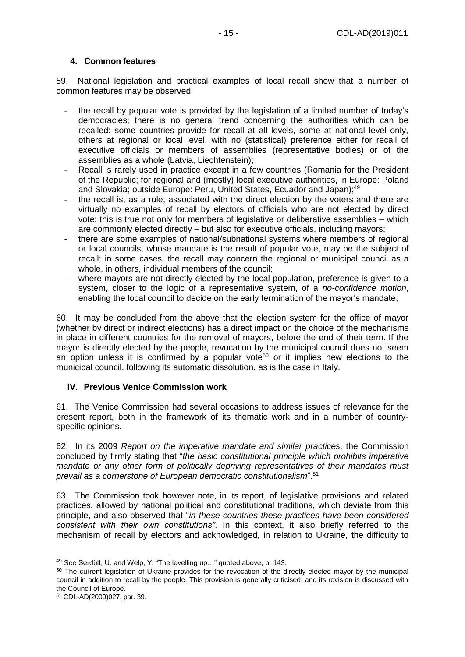#### <span id="page-14-0"></span>**4. Common features**

59. National legislation and practical examples of local recall show that a number of common features may be observed:

- the recall by popular vote is provided by the legislation of a limited number of today's democracies; there is no general trend concerning the authorities which can be recalled: some countries provide for recall at all levels, some at national level only, others at regional or local level, with no (statistical) preference either for recall of executive officials or members of assemblies (representative bodies) or of the assemblies as a whole (Latvia, Liechtenstein);
- Recall is rarely used in practice except in a few countries (Romania for the President of the Republic; for regional and (mostly) local executive authorities, in Europe: Poland and Slovakia; outside Europe: Peru, United States, Ecuador and Japan);<sup>49</sup>
- the recall is, as a rule, associated with the direct election by the voters and there are virtually no examples of recall by electors of officials who are not elected by direct vote; this is true not only for members of legislative or deliberative assemblies – which are commonly elected directly – but also for executive officials, including mayors;
- there are some examples of national/subnational systems where members of regional or local councils, whose mandate is the result of popular vote, may be the subject of recall; in some cases, the recall may concern the regional or municipal council as a whole, in others, individual members of the council;
- where mayors are not directly elected by the local population, preference is given to a system, closer to the logic of a representative system, of a *no-confidence motion*, enabling the local council to decide on the early termination of the mayor's mandate;

60. It may be concluded from the above that the election system for the office of mayor (whether by direct or indirect elections) has a direct impact on the choice of the mechanisms in place in different countries for the removal of mayors, before the end of their term. If the mayor is directly elected by the people, revocation by the municipal council does not seem an option unless it is confirmed by a popular vote<sup>50</sup> or it implies new elections to the municipal council, following its automatic dissolution, as is the case in Italy.

#### <span id="page-14-1"></span>**IV. Previous Venice Commission work**

61. The Venice Commission had several occasions to address issues of relevance for the present report, both in the framework of its thematic work and in a number of countryspecific opinions.

62. In its 2009 *Report on the imperative mandate and similar practices*, the Commission concluded by firmly stating that "*the basic constitutional principle which prohibits imperative mandate or any other form of politically depriving representatives of their mandates must prevail as a cornerstone of European democratic constitutionalism*".<sup>51</sup>

63. The Commission took however note, in its report, of legislative provisions and related practices, allowed by national political and constitutional traditions, which deviate from this principle, and also observed that "*in these countries these practices have been considered consistent with their own constitutions"*. In this context, it also briefly referred to the mechanism of recall by electors and acknowledged, in relation to Ukraine, the difficulty to

<sup>49</sup> See Serdült, U. and Welp, Y. "The levelling up…" quoted above, p. 143.

<sup>&</sup>lt;sup>50</sup> The current legislation of Ukraine provides for the revocation of the directly elected mayor by the municipal council in addition to recall by the people. This provision is generally criticised, and its revision is discussed with the Council of Europe.

<sup>51</sup> CDL-AD(2009)027, par. 39.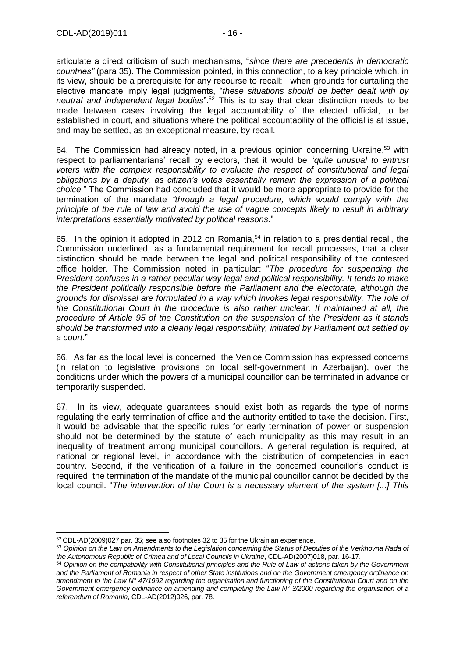articulate a direct criticism of such mechanisms, "*since there are precedents in democratic countries"* (para 35). The Commission pointed, in this connection, to a key principle which, in its view, should be a prerequisite for any recourse to recall: when grounds for curtailing the elective mandate imply legal judgments, "*these situations should be better dealt with by neutral and independent legal bodies*". <sup>52</sup> This is to say that clear distinction needs to be made between cases involving the legal accountability of the elected official, to be established in court, and situations where the political accountability of the official is at issue, and may be settled, as an exceptional measure, by recall.

64. The Commission had already noted, in a previous opinion concerning Ukraine,<sup>53</sup> with respect to parliamentarians' recall by electors, that it would be "*quite unusual to entrust voters with the complex responsibility to evaluate the respect of constitutional and legal obligations by a deputy, as citizen's votes essentially remain the expression of a political choice.*" The Commission had concluded that it would be more appropriate to provide for the termination of the mandate *"through a legal procedure, which would comply with the principle of the rule of law and avoid the use of vague concepts likely to result in arbitrary interpretations essentially motivated by political reasons*."

65. In the opinion it adopted in 2012 on Romania,<sup>54</sup> in relation to a presidential recall, the Commission underlined, as a fundamental requirement for recall processes, that a clear distinction should be made between the legal and political responsibility of the contested office holder. The Commission noted in particular: "*The procedure for suspending the President confuses in a rather peculiar way legal and political responsibility. It tends to make the President politically responsible before the Parliament and the electorate, although the grounds for dismissal are formulated in a way which invokes legal responsibility. The role of the Constitutional Court in the procedure is also rather unclear. If maintained at all, the procedure of Article 95 of the Constitution on the suspension of the President as it stands should be transformed into a clearly legal responsibility, initiated by Parliament but settled by a court*."

66. As far as the local level is concerned, the Venice Commission has expressed concerns (in relation to legislative provisions on local self-government in Azerbaijan), over the conditions under which the powers of a municipal councillor can be terminated in advance or temporarily suspended.

67. In its view, adequate guarantees should exist both as regards the type of norms regulating the early termination of office and the authority entitled to take the decision. First, it would be advisable that the specific rules for early termination of power or suspension should not be determined by the statute of each municipality as this may result in an inequality of treatment among municipal councillors. A general regulation is required, at national or regional level, in accordance with the distribution of competencies in each country. Second, if the verification of a failure in the concerned councillor's conduct is required, the termination of the mandate of the municipal councillor cannot be decided by the local council. "*The intervention of the Court is a necessary element of the system [...] This* 

<sup>52</sup> CDL-AD(2009)027 par. 35; see also footnotes 32 to 35 for the Ukrainian experience.

<sup>53</sup> *Opinion on the Law on Amendments to the Legislation concerning the Status of Deputies of the Verkhovna Rada of the Autonomous Republic of Crimea and of Local Councils in Ukraine*, CDL-AD(2007)018, par. 16-17.

<sup>54</sup> *Opinion on the compatibility with Constitutional principles and the Rule of Law of actions taken by the Government and the Parliament of Romania in respect of other State institutions and on the Government emergency ordinance on amendment to the Law N° 47/1992 regarding the organisation and functioning of the Constitutional Court and on the Government emergency ordinance on amending and completing the Law N° 3/2000 regarding the organisation of a referendum of Romania*, CDL-AD(2012)026, par. 78.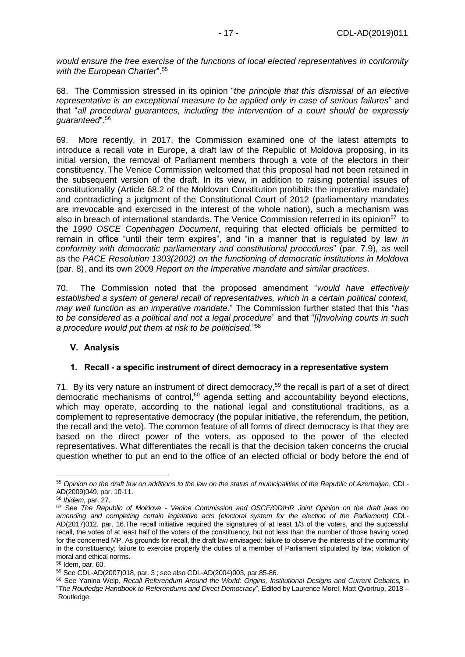*would ensure the free exercise of the functions of local elected representatives in conformity with the European Charter*". 55

68. The Commission stressed in its opinion "*the principle that this dismissal of an elective representative is an exceptional measure to be applied only in case of serious failures*" and that "*all procedural guarantees, including the intervention of a court should be expressly guaranteed*".<sup>56</sup>

69. More recently, in 2017, the Commission examined one of the latest attempts to introduce a recall vote in Europe, a draft law of the Republic of Moldova proposing, in its initial version, the removal of Parliament members through a vote of the electors in their constituency. The Venice Commission welcomed that this proposal had not been retained in the subsequent version of the draft. In its view, in addition to raising potential issues of constitutionality (Article 68.2 of the Moldovan Constitution prohibits the imperative mandate) and contradicting a judgment of the Constitutional Court of 2012 (parliamentary mandates are irrevocable and exercised in the interest of the whole nation), such a mechanism was also in breach of international standards. The Venice Commission referred in its opinion<sup>57</sup> to the *1990 OSCE Copenhagen Document*, requiring that elected officials be permitted to remain in office "until their term expires", and "in a manner that is regulated by law *in conformity with democratic parliamentary and constitutional procedures*" (par. 7.9), as well as the *PACE Resolution 1303(2002) on the functioning of democratic institutions in Moldova* (par. 8), and its own 2009 *Report on the Imperative mandate and similar practices*.

70. The Commission noted that the proposed amendment "*would have effectively established a system of general recall of representatives, which in a certain political context, may well function as an imperative mandate*." The Commission further stated that this "*has to be considered as a political and not a legal procedure*" and that "*[i]nvolving courts in such a procedure would put them at risk to be politicised*."<sup>58</sup>

#### <span id="page-16-0"></span>**V. Analysis**

#### <span id="page-16-1"></span>**1. Recall - a specific instrument of direct democracy in a representative system**

71. By its very nature an instrument of direct democracy,<sup>59</sup> the recall is part of a set of direct democratic mechanisms of control, $60$  agenda setting and accountability beyond elections, which may operate, according to the national legal and constitutional traditions, as a complement to representative democracy (the popular initiative, the referendum, the petition, the recall and the veto). The common feature of all forms of direct democracy is that they are based on the direct power of the voters, as opposed to the power of the elected representatives. What differentiates the recall is that the decision taken concerns the crucial question whether to put an end to the office of an elected official or body before the end of

<sup>-</sup><sup>55</sup> *Opinion on the draft law on additions to the law on the status of municipalities of the Republic of Azerbaijan*, CDL-AD(2009)049, par. 10-11.

<sup>56</sup> *Ibidem*, par. 27.

<sup>57</sup> See *The Republic of Moldova - Venice Commission and OSCE/ODIHR Joint Opinion on the draft laws on amending and completing certain legislative acts (electoral system for the election of the Parliament)* CDL-AD(2017)012, par. 16.The recall initiative required the signatures of at least 1/3 of the voters, and the successful recall, the votes of at least half of the voters of the constituency, but not less than the number of those having voted for the concerned MP. As grounds for recall, the draft law envisaged: failure to observe the interests of the community in the constituency; failure to exercise properly the duties of a member of Parliament stipulated by law; violation of moral and ethical norms.

<sup>58</sup> Idem, par. 60.

<sup>59</sup> See CDL-AD(2007)018, par. 3 ; see also CDL-AD(2004)003, par.85-86.

<sup>60</sup> See Yanina Welp*, Recall Referendum Around the World: Origins, Institutional Designs and Current Debates,* in "*The Routledge Handbook to Referendums and Direct Democracy*", Edited by [Laurence Morel,](https://www.routledge.com/products/search?author=Laurence%20Morel) [Matt Qvortrup,](https://www.routledge.com/products/search?author=Matt%20Qvortrup) 2018 – Routledge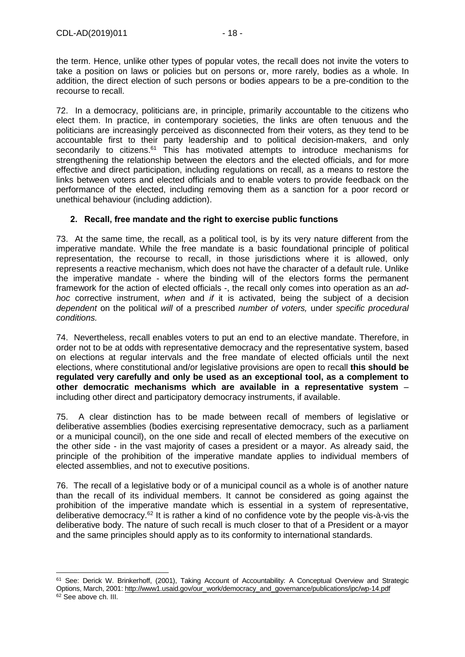-

the term. Hence, unlike other types of popular votes, the recall does not invite the voters to take a position on laws or policies but on persons or, more rarely, bodies as a whole. In addition, the direct election of such persons or bodies appears to be a pre-condition to the recourse to recall.

72. In a democracy, politicians are, in principle, primarily accountable to the citizens who elect them. In practice, in contemporary societies, the links are often tenuous and the politicians are increasingly perceived as disconnected from their voters, as they tend to be accountable first to their party leadership and to political decision-makers, and only secondarily to citizens.<sup>61</sup> This has motivated attempts to introduce mechanisms for strengthening the relationship between the electors and the elected officials, and for more effective and direct participation, including regulations on recall, as a means to restore the links between voters and elected officials and to enable voters to provide feedback on the performance of the elected, including removing them as a sanction for a poor record or unethical behaviour (including addiction).

### <span id="page-17-0"></span>**2. Recall, free mandate and the right to exercise public functions**

73. At the same time, the recall, as a political tool, is by its very nature different from the imperative mandate. While the free mandate is a basic foundational principle of political representation, the recourse to recall, in those jurisdictions where it is allowed, only represents a reactive mechanism, which does not have the character of a default rule. Unlike the imperative mandate - where the binding will of the electors forms the permanent framework for the action of elected officials -, the recall only comes into operation as an *adhoc* corrective instrument, *when* and *if* it is activated, being the subject of a decision *dependent* on the political *will* of a prescribed *number of voters,* under *specific procedural conditions.*

74. Nevertheless, recall enables voters to put an end to an elective mandate. Therefore, in order not to be at odds with representative democracy and the representative system, based on elections at regular intervals and the free mandate of elected officials until the next elections, where constitutional and/or legislative provisions are open to recall **this should be regulated very carefully and only be used as an exceptional tool, as a complement to other democratic mechanisms which are available in a representative system** – including other direct and participatory democracy instruments, if available.

75. A clear distinction has to be made between recall of members of legislative or deliberative assemblies (bodies exercising representative democracy, such as a parliament or a municipal council), on the one side and recall of elected members of the executive on the other side - in the vast majority of cases a president or a mayor. As already said, the principle of the prohibition of the imperative mandate applies to individual members of elected assemblies, and not to executive positions.

76. The recall of a legislative body or of a municipal council as a whole is of another nature than the recall of its individual members. It cannot be considered as going against the prohibition of the imperative mandate which is essential in a system of representative, deliberative democracy.<sup>62</sup> It is rather a kind of no confidence vote by the people vis-à-vis the deliberative body. The nature of such recall is much closer to that of a President or a mayor and the same principles should apply as to its conformity to international standards.

<sup>61</sup> See: Derick W. Brinkerhoff, (2001), Taking Account of Accountability: A Conceptual Overview and Strategic Options, March, 2001: [http://www1.usaid.gov/our\\_work/democracy\\_and\\_governance/publications/ipc/wp-14.pdf](http://www1.usaid.gov/our_work/democracy_and_governance/publications/ipc/wp-14.pdf) <sup>62</sup> See above ch. III.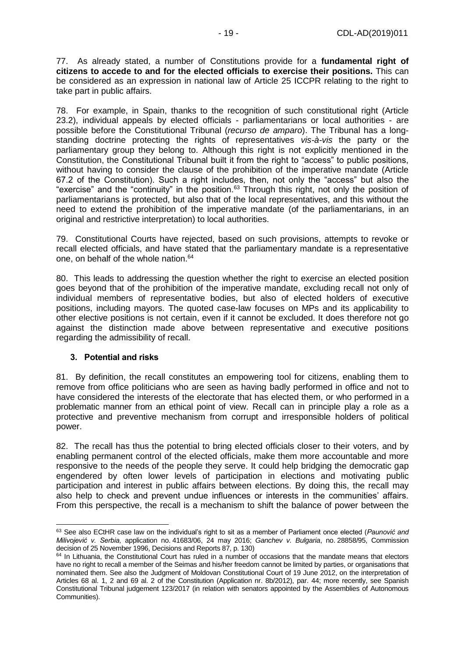77. As already stated, a number of Constitutions provide for a **fundamental right of citizens to accede to and for the elected officials to exercise their positions.** This can be considered as an expression in national law of Article 25 ICCPR relating to the right to take part in public affairs.

78. For example, in Spain, thanks to the recognition of such constitutional right (Article 23.2), individual appeals by elected officials - parliamentarians or local authorities - are possible before the Constitutional Tribunal (*recurso de amparo*). The Tribunal has a longstanding doctrine protecting the rights of representatives *vis-à-vis* the party or the parliamentary group they belong to. Although this right is not explicitly mentioned in the Constitution, the Constitutional Tribunal built it from the right to "access" to public positions, without having to consider the clause of the prohibition of the imperative mandate (Article 67.2 of the Constitution). Such a right includes, then, not only the "access" but also the "exercise" and the "continuity" in the position.<sup>63</sup> Through this right, not only the position of parliamentarians is protected, but also that of the local representatives, and this without the need to extend the prohibition of the imperative mandate (of the parliamentarians, in an original and restrictive interpretation) to local authorities.

79. Constitutional Courts have rejected, based on such provisions, attempts to revoke or recall elected officials, and have stated that the parliamentary mandate is a representative one, on behalf of the whole nation.<sup>64</sup>

80. This leads to addressing the question whether the right to exercise an elected position goes beyond that of the prohibition of the imperative mandate, excluding recall not only of individual members of representative bodies, but also of elected holders of executive positions, including mayors. The quoted case-law focuses on MPs and its applicability to other elective positions is not certain, even if it cannot be excluded. It does therefore not go against the distinction made above between representative and executive positions regarding the admissibility of recall.

#### <span id="page-18-0"></span>**3. Potential and risks**

81. By definition, the recall constitutes an empowering tool for citizens, enabling them to remove from office politicians who are seen as having badly performed in office and not to have considered the interests of the electorate that has elected them, or who performed in a problematic manner from an ethical point of view. Recall can in principle play a role as a protective and preventive mechanism from corrupt and irresponsible holders of political power.

82. The recall has thus the potential to bring elected officials closer to their voters, and by enabling permanent control of the elected officials, make them more accountable and more responsive to the needs of the people they serve. It could help bridging the democratic gap engendered by often lower levels of participation in elections and motivating public participation and interest in public affairs between elections. By doing this, the recall may also help to check and prevent undue influences or interests in the communities' affairs. From this perspective, the recall is a mechanism to shift the balance of power between the

<sup>-</sup><sup>63</sup> See also ECtHR case law on the individual's right to sit as a member of Parliament once elected (*Paunović and Milivojević v. Serbia,* application no. 41683/06, 24 may 2016; *Ganchev v. Bulgaria*, no. 28858/95, Commission decision of 25 November 1996, Decisions and Reports 87, p. 130)

 $64$  In Lithuania, the Constitutional Court has ruled in a number of occasions that the mandate means that electors have no right to recall a member of the Seimas and his/her freedom cannot be limited by parties, or organisations that nominated them. See also the Judgment of Moldovan Constitutional Court of 19 June 2012, on the interpretation of Articles 68 al. 1, 2 and 69 al. 2 of the Constitution (Application nr. 8b/2012), par. 44; more recently, see Spanish Constitutional Tribunal judgement 123/2017 (in relation with senators appointed by the Assemblies of Autonomous Communities).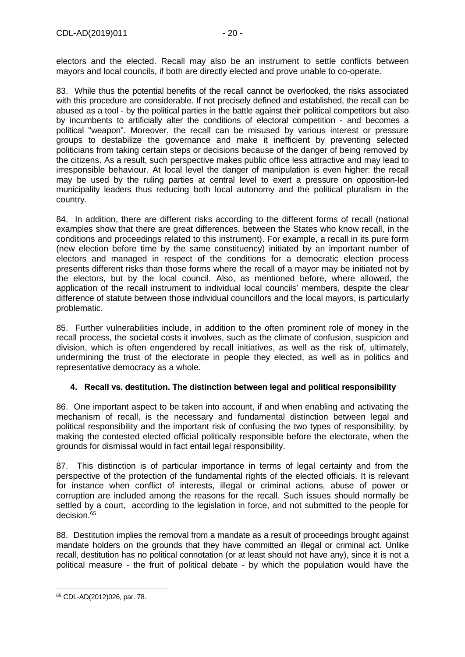electors and the elected. Recall may also be an instrument to settle conflicts between mayors and local councils, if both are directly elected and prove unable to co-operate.

83. While thus the potential benefits of the recall cannot be overlooked, the risks associated with this procedure are considerable. If not precisely defined and established, the recall can be abused as a tool - by the political parties in the battle against their political competitors but also by incumbents to artificially alter the conditions of electoral competition - and becomes a political "weapon". Moreover, the recall can be misused by various interest or pressure groups to destabilize the governance and make it inefficient by preventing selected politicians from taking certain steps or decisions because of the danger of being removed by the citizens. As a result, such perspective makes public office less attractive and may lead to irresponsible behaviour. At local level the danger of manipulation is even higher: the recall may be used by the ruling parties at central level to exert a pressure on opposition-led municipality leaders thus reducing both local autonomy and the political pluralism in the country.

84. In addition, there are different risks according to the different forms of recall (national examples show that there are great differences, between the States who know recall, in the conditions and proceedings related to this instrument). For example, a recall in its pure form (new election before time by the same constituency) initiated by an important number of electors and managed in respect of the conditions for a democratic election process presents different risks than those forms where the recall of a mayor may be initiated not by the electors, but by the local council. Also, as mentioned before, where allowed, the application of the recall instrument to individual local councils' members, despite the clear difference of statute between those individual councillors and the local mayors, is particularly problematic.

85. Further vulnerabilities include, in addition to the often prominent role of money in the recall process, the societal costs it involves, such as the climate of confusion, suspicion and division, which is often engendered by recall initiatives, as well as the risk of, ultimately, undermining the trust of the electorate in people they elected, as well as in politics and representative democracy as a whole.

## <span id="page-19-0"></span>**4. Recall vs. destitution. The distinction between legal and political responsibility**

86. One important aspect to be taken into account, if and when enabling and activating the mechanism of recall, is the necessary and fundamental distinction between legal and political responsibility and the important risk of confusing the two types of responsibility, by making the contested elected official politically responsible before the electorate, when the grounds for dismissal would in fact entail legal responsibility.

87. This distinction is of particular importance in terms of legal certainty and from the perspective of the protection of the fundamental rights of the elected officials. It is relevant for instance when conflict of interests, illegal or criminal actions, abuse of power or corruption are included among the reasons for the recall. Such issues should normally be settled by a court, according to the legislation in force, and not submitted to the people for decision.<sup>65</sup>

88. Destitution implies the removal from a mandate as a result of proceedings brought against mandate holders on the grounds that they have committed an illegal or criminal act. Unlike recall, destitution has no political connotation (or at least should not have any), since it is not a political measure - the fruit of political debate - by which the population would have the

<sup>65</sup> CDL-AD(2012)026, par. 78.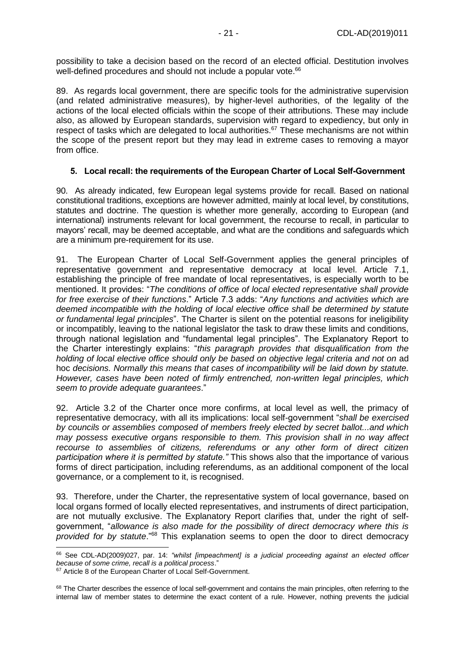possibility to take a decision based on the record of an elected official. Destitution involves well-defined procedures and should not include a popular vote.<sup>66</sup>

89. As regards local government, there are specific tools for the administrative supervision (and related administrative measures), by higher-level authorities, of the legality of the actions of the local elected officials within the scope of their attributions. These may include also, as allowed by European standards, supervision with regard to expediency, but only in respect of tasks which are delegated to local authorities.<sup>67</sup> These mechanisms are not within the scope of the present report but they may lead in extreme cases to removing a mayor from office.

#### <span id="page-20-0"></span>**5. Local recall: the requirements of the European Charter of Local Self-Government**

90. As already indicated, few European legal systems provide for recall. Based on national constitutional traditions, exceptions are however admitted, mainly at local level, by constitutions, statutes and doctrine. The question is whether more generally, according to European (and international) instruments relevant for local government, the recourse to recall, in particular to mayors' recall, may be deemed acceptable, and what are the conditions and safeguards which are a minimum pre-requirement for its use.

91. The European Charter of Local Self-Government applies the general principles of representative government and representative democracy at local level. Article 7.1, establishing the principle of free mandate of local representatives, is especially worth to be mentioned. It provides: "*The conditions of office of local elected representative shall provide for free exercise of their functions*." Article 7.3 adds: "*Any functions and activities which are deemed incompatible with the holding of local elective office shall be determined by statute or fundamental legal principles*". The Charter is silent on the potential reasons for ineligibility or incompatibly, leaving to the national legislator the task to draw these limits and conditions, through national legislation and "fundamental legal principles". The Explanatory Report to the Charter interestingly explains: "*this paragraph provides that disqualification from the holding of local elective office should only be based on objective legal criteria and not on* ad hoc *decisions. Normally this means that cases of incompatibility will be laid down by statute. However, cases have been noted of firmly entrenched, non-written legal principles, which seem to provide adequate guarantees*."

92. Article 3.2 of the Charter once more confirms, at local level as well, the primacy of representative democracy, with all its implications: local self-government "*shall be exercised by councils or assemblies composed of members freely elected by secret ballot...and which may possess executive organs responsible to them. This provision shall in no way affect recourse to assemblies of citizens, referendums or any other form of direct citizen participation where it is permitted by statute."* This shows also that the importance of various forms of direct participation, including referendums, as an additional component of the local governance, or a complement to it, is recognised.

93. Therefore, under the Charter, the representative system of local governance, based on local organs formed of locally elected representatives, and instruments of direct participation, are not mutually exclusive. The Explanatory Report clarifies that, under the right of selfgovernment, "*allowance is also made for the possibility of direct democracy where this is provided for by statute*."<sup>68</sup> This explanation seems to open the door to direct democracy

<sup>66</sup> See CDL-AD(2009)027, par. 14: *"whilst [impeachment] is a judicial proceeding against an elected officer because of some crime, recall is a political process*."

<sup>&</sup>lt;sup>67</sup> Article 8 of the European Charter of Local Self-Government.

<sup>&</sup>lt;sup>68</sup> The Charter describes the essence of local self-government and contains the main principles, often referring to the internal law of member states to determine the exact content of a rule. However, nothing prevents the judicial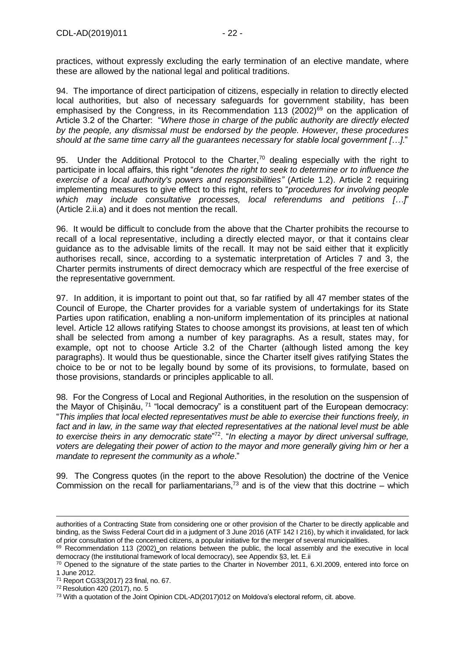practices, without expressly excluding the early termination of an elective mandate, where these are allowed by the national legal and political traditions.

94. The importance of direct participation of citizens, especially in relation to directly elected local authorities, but also of necessary safeguards for government stability, has been emphasised by the Congress, in its Recommendation  $113$  (2002)<sup>69</sup> on the application of Article 3.2 of the Charter: "*Where those in charge of the public authority are directly elected by the people, any dismissal must be endorsed by the people. However, these procedures should at the same time carry all the guarantees necessary for stable local government […]*."

95. Under the Additional Protocol to the Charter,<sup>70</sup> dealing especially with the right to participate in local affairs, this right "*denotes the right to seek to determine or to influence the exercise of a local authority's powers and responsibilities"* (Article 1.2). Article 2 requiring implementing measures to give effect to this right, refers to "*procedures for involving people which may include consultative processes, local referendums and petitions […]*" (Article 2.ii.a) and it does not mention the recall.

96. It would be difficult to conclude from the above that the Charter prohibits the recourse to recall of a local representative, including a directly elected mayor, or that it contains clear guidance as to the advisable limits of the recall. It may not be said either that it explicitly authorises recall, since, according to a systematic interpretation of Articles 7 and 3, the Charter permits instruments of direct democracy which are respectful of the free exercise of the representative government.

97. In addition, it is important to point out that, so far ratified by all 47 member states of the Council of Europe, the Charter provides for a variable system of undertakings for its State Parties upon ratification, enabling a non-uniform implementation of its principles at national level. Article 12 allows ratifying States to choose amongst its provisions, at least ten of which shall be selected from among a number of key paragraphs. As a result, states may, for example, opt not to choose Article 3.2 of the Charter (although listed among the key paragraphs). It would thus be questionable, since the Charter itself gives ratifying States the choice to be or not to be legally bound by some of its provisions, to formulate, based on those provisions, standards or principles applicable to all.

98. For the Congress of Local and Regional Authorities, in the resolution on the suspension of the Mayor of Chișinău, <sup>71</sup> "local democracy" is a constituent part of the European democracy: "*This implies that local elected representatives must be able to exercise their functions freely, in*  fact and in law, in the same way that elected representatives at the national level must be able *to exercise theirs in any democratic state*" <sup>72</sup>. "*In electing a mayor by direct universal suffrage, voters are delegating their power of action to the mayor and more generally giving him or her a mandate to represent the community as a whole*."

99. The Congress quotes (in the report to the above Resolution) the doctrine of the Venice Commission on the recall for parliamentarians.<sup>73</sup> and is of the view that this doctrine – which

authorities of a Contracting State from considering one or other provision of the Charter to be directly applicable and binding, as the Swiss Federal Court did in a judgment of 3 June 2016 (ATF 142 I 216), by which it invalidated, for lack of prior consultation of the concerned citizens, a popular initiative for the merger of several municipalities.

<sup>&</sup>lt;sup>69</sup> Recommendation 113 (2002) on relations between the public, the local assembly and the executive in local democracy (the institutional framework of local democracy), see Appendix §3, let. E.ii

<sup>70</sup> Opened to the signature of the state parties to the Charter in November 2011, 6.XI.2009, entered into force on 1 June 2012.

<sup>71</sup> Report CG33(2017) 23 final, no. 67.

<sup>72</sup> Resolution 420 (2017), no. 5

<sup>&</sup>lt;sup>73</sup> With a quotation of the Joint Opinion CDL-AD(2017)012 on Moldova's electoral reform, cit. above.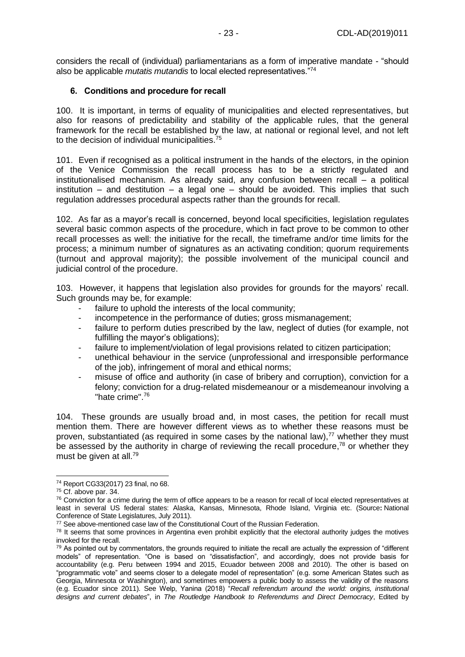considers the recall of (individual) parliamentarians as a form of imperative mandate - "should also be applicable *mutatis mutandis* to local elected representatives."<sup>74</sup>

#### <span id="page-22-0"></span>**6. Conditions and procedure for recall**

100. It is important, in terms of equality of municipalities and elected representatives, but also for reasons of predictability and stability of the applicable rules, that the general framework for the recall be established by the law, at national or regional level, and not left to the decision of individual municipalities.<sup>75</sup>

101. Even if recognised as a political instrument in the hands of the electors, in the opinion of the Venice Commission the recall process has to be a strictly regulated and institutionalised mechanism. As already said, any confusion between recall – a political institution – and destitution – a legal one – should be avoided. This implies that such regulation addresses procedural aspects rather than the grounds for recall.

102. As far as a mayor's recall is concerned, beyond local specificities, legislation regulates several basic common aspects of the procedure, which in fact prove to be common to other recall processes as well: the initiative for the recall, the timeframe and/or time limits for the process; a minimum number of signatures as an activating condition; quorum requirements (turnout and approval majority); the possible involvement of the municipal council and judicial control of the procedure.

103. However, it happens that legislation also provides for grounds for the mayors' recall. Such grounds may be, for example:

- failure to uphold the interests of the local community;
- incompetence in the performance of duties; gross mismanagement;
- failure to perform duties prescribed by the law, neglect of duties (for example, not fulfilling the mayor's obligations);
- failure to implement/violation of legal provisions related to citizen participation;
- unethical behaviour in the service (unprofessional and irresponsible performance of the job), infringement of moral and ethical norms;
- misuse of office and authority (in case of bribery and corruption), conviction for a felony; conviction for a drug-related misdemeanour or a misdemeanour involving a "hate crime".<sup>76</sup>

104. These grounds are usually broad and, in most cases, the petition for recall must mention them. There are however different views as to whether these reasons must be proven, substantiated (as required in some cases by the national law), $<sup>77</sup>$  whether they must</sup> be assessed by the authority in charge of reviewing the recall procedure,  $78$  or whether they must be given at all.<sup>79</sup>

<sup>74</sup> Report CG33(2017) 23 final, no 68.

<sup>75</sup> Cf. above par. 34.

 $76$  Conviction for a crime during the term of office appears to be a reason for recall of local elected representatives at least in several US federal states: Alaska, Kansas, Minnesota, Rhode Island, Virginia etc. (Source**:** National Conference of State Legislatures, July 2011).

<sup>&</sup>lt;sup>77</sup> See above-mentioned case law of the Constitutional Court of the Russian Federation.

 $78$  It seems that some provinces in Argentina even prohibit explicitly that the electoral authority judges the motives invoked for the recall.

 $79$  As pointed out by commentators, the grounds required to initiate the recall are actually the expression of "different models" of representation. "One is based on "dissatisfaction", and accordingly, does not provide basis for accountability (e.g. Peru between 1994 and 2015, Ecuador between 2008 and 2010). The other is based on "programmatic vote" and seems closer to a delegate model of representation" (e.g. some American States such as Georgia, Minnesota or Washington), and sometimes empowers a public body to assess the validity of the reasons (e.g. Ecuador since 2011). See Welp, Yanina (2018) "*Recall referendum around the world: origins, institutional designs and current debates*", in *The Routledge Handbook to Referendums and Direct Democracy*, Edited by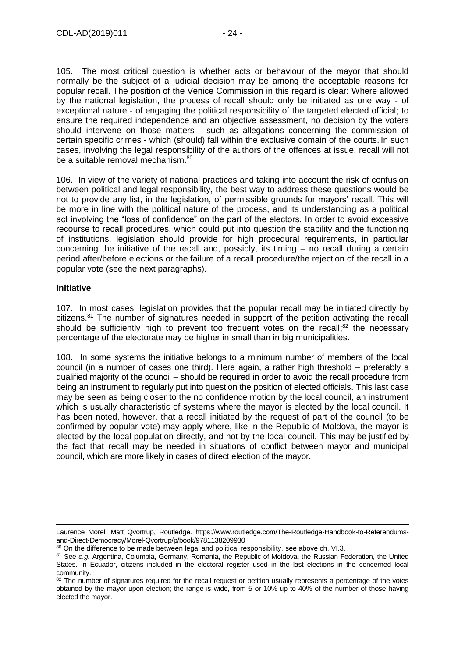105. The most critical question is whether acts or behaviour of the mayor that should normally be the subject of a judicial decision may be among the acceptable reasons for popular recall. The position of the Venice Commission in this regard is clear: Where allowed by the national legislation, the process of recall should only be initiated as one way - of exceptional nature - of engaging the political responsibility of the targeted elected official; to ensure the required independence and an objective assessment, no decision by the voters should intervene on those matters - such as allegations concerning the commission of certain specific crimes - which (should) fall within the exclusive domain of the courts. In such cases, involving the legal responsibility of the authors of the offences at issue, recall will not be a suitable removal mechanism.<sup>80</sup>

106. In view of the variety of national practices and taking into account the risk of confusion between political and legal responsibility, the best way to address these questions would be not to provide any list, in the legislation, of permissible grounds for mayors' recall. This will be more in line with the political nature of the process, and its understanding as a political act involving the "loss of confidence" on the part of the electors. In order to avoid excessive recourse to recall procedures, which could put into question the stability and the functioning of institutions, legislation should provide for high procedural requirements, in particular concerning the initiative of the recall and, possibly, its timing – no recall during a certain period after/before elections or the failure of a recall procedure/the rejection of the recall in a popular vote (see the next paragraphs).

#### <span id="page-23-0"></span>**Initiative**

107. In most cases, legislation provides that the popular recall may be initiated directly by citizens.<sup>81</sup> The number of signatures needed in support of the petition activating the recall should be sufficiently high to prevent too frequent votes on the recall;<sup>82</sup> the necessary percentage of the electorate may be higher in small than in big municipalities.

108. In some systems the initiative belongs to a minimum number of members of the local council (in a number of cases one third). Here again, a rather high threshold – preferably a qualified majority of the council – should be required in order to avoid the recall procedure from being an instrument to regularly put into question the position of elected officials. This last case may be seen as being closer to the no confidence motion by the local council, an instrument which is usually characteristic of systems where the mayor is elected by the local council. It has been noted, however, that a recall initiated by the request of part of the council (to be confirmed by popular vote) may apply where, like in the Republic of Moldova, the mayor is elected by the local population directly, and not by the local council. This may be justified by the fact that recall may be needed in situations of conflict between mayor and municipal council, which are more likely in cases of direct election of the mayor.

<sup>-</sup>Laurence Morel, Matt Qvortrup, Routledge. [https://www.routledge.com/The-Routledge-Handbook-to-Referendums](https://www.routledge.com/The-Routledge-Handbook-to-Referendums-and-Direct-Democracy/Morel-Qvortrup/p/book/9781138209930)[and-Direct-Democracy/Morel-Qvortrup/p/book/9781138209930](https://www.routledge.com/The-Routledge-Handbook-to-Referendums-and-Direct-Democracy/Morel-Qvortrup/p/book/9781138209930)

 $80$  On the difference to be made between legal and political responsibility, see above ch. VI.3.

<sup>81</sup> See *e.g.* Argentina, Columbia, Germany, Romania, the Republic of Moldova, the Russian Federation, the United States. In Ecuador, citizens included in the electoral register used in the last elections in the concerned local community.

<sup>&</sup>lt;sup>82</sup> The number of signatures required for the recall request or petition usually represents a percentage of the votes obtained by the mayor upon election; the range is wide, from 5 or 10% up to 40% of the number of those having elected the mayor.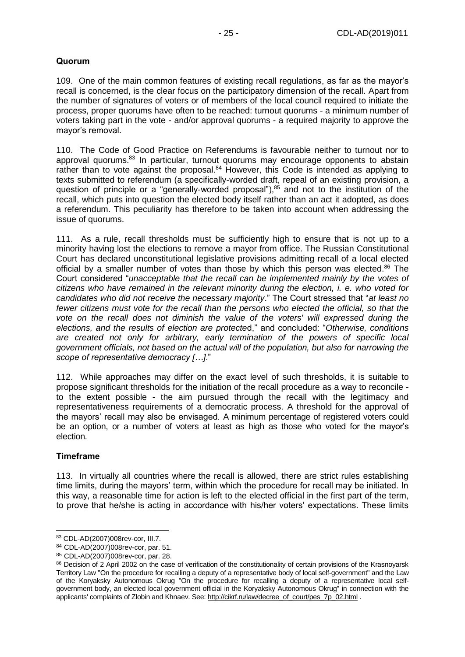### <span id="page-24-0"></span>**Quorum**

109. One of the main common features of existing recall regulations, as far as the mayor's recall is concerned, is the clear focus on the participatory dimension of the recall. Apart from the number of signatures of voters or of members of the local council required to initiate the process, proper quorums have often to be reached: turnout quorums - a minimum number of voters taking part in the vote - and/or approval quorums - a required majority to approve the mayor's removal.

110. The Code of Good Practice on Referendums is favourable neither to turnout nor to approval quorums.<sup>83</sup> In particular, turnout quorums may encourage opponents to abstain rather than to vote against the proposal.<sup>84</sup> However, this Code is intended as applying to texts submitted to referendum (a specifically-worded draft, repeal of an existing provision, a question of principle or a "generally-worded proposal"), $85$  and not to the institution of the recall, which puts into question the elected body itself rather than an act it adopted, as does a referendum. This peculiarity has therefore to be taken into account when addressing the issue of quorums.

111. As a rule, recall thresholds must be sufficiently high to ensure that is not up to a minority having lost the elections to remove a mayor from office. The Russian Constitutional Court has declared unconstitutional legislative provisions admitting recall of a local elected official by a smaller number of votes than those by which this person was elected.<sup>86</sup> The Court considered "*unacceptable that the recall can be implemented mainly by the votes of citizens who have remained in the relevant minority during the election, i. e. who voted for candidates who did not receive the necessary majority*." The Court stressed that "*at least no fewer citizens must vote for the recall than the persons who elected the official, so that the vote on the recall does not diminish the value of the voters' will expressed during the elections, and the results of election are protecte*d," and concluded: "*Otherwise, conditions are created not only for arbitrary, early termination of the powers of specific local government officials, not based on the actual will of the population, but also for narrowing the scope of representative democracy […]*."

112. While approaches may differ on the exact level of such thresholds, it is suitable to propose significant thresholds for the initiation of the recall procedure as a way to reconcile to the extent possible - the aim pursued through the recall with the legitimacy and representativeness requirements of a democratic process. A threshold for the approval of the mayors' recall may also be envisaged. A minimum percentage of registered voters could be an option, or a number of voters at least as high as those who voted for the mayor's election.

#### <span id="page-24-1"></span>**Timeframe**

-

113. In virtually all countries where the recall is allowed, there are strict rules establishing time limits, during the mayors' term, within which the procedure for recall may be initiated. In this way, a reasonable time for action is left to the elected official in the first part of the term, to prove that he/she is acting in accordance with his/her voters' expectations. These limits

<sup>83</sup> CDL-AD(2007)008rev-cor, III.7.

<sup>84</sup> CDL-AD(2007)008rev-cor, par. 51.

<sup>85</sup> CDL-AD(2007)008rev-cor, par. 28.

<sup>86</sup> Decision of 2 April 2002 on the case of verification of the constitutionality of certain provisions of the Krasnoyarsk Territory Law "On the procedure for recalling a deputy of a representative body of local self-government" and the Law of the Koryaksky Autonomous Okrug "On the procedure for recalling a deputy of a representative local selfgovernment body, an elected local government official in the Koryaksky Autonomous Okrug" in connection with the applicants' complaints of Zlobin and Khnaev. See: [http://cikrf.ru/law/decree\\_of\\_court/pes\\_7p\\_02.html](http://cikrf.ru/law/decree_of_court/pes_7p_02.html) .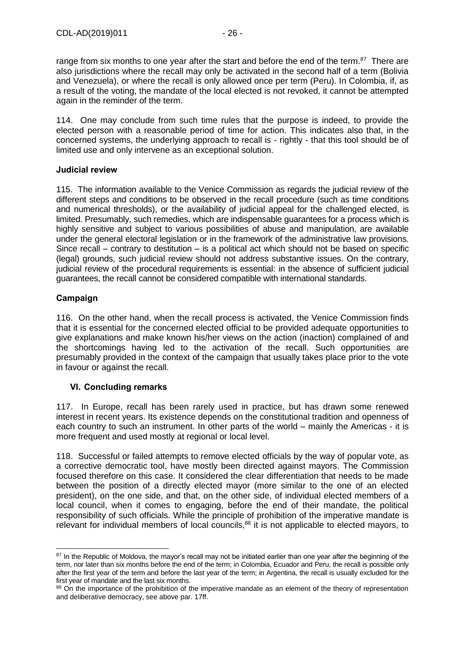range from six months to one year after the start and before the end of the term. $87$  There are also jurisdictions where the recall may only be activated in the second half of a term (Bolivia and Venezuela), or where the recall is only allowed once per term (Peru). In Colombia, if, as a result of the voting, the mandate of the local elected is not revoked, it cannot be attempted again in the reminder of the term.

114. One may conclude from such time rules that the purpose is indeed, to provide the elected person with a reasonable period of time for action. This indicates also that, in the concerned systems, the underlying approach to recall is - rightly - that this tool should be of limited use and only intervene as an exceptional solution.

#### <span id="page-25-0"></span>**Judicial review**

115. The information available to the Venice Commission as regards the judicial review of the different steps and conditions to be observed in the recall procedure (such as time conditions and numerical thresholds), or the availability of judicial appeal for the challenged elected, is limited. Presumably, such remedies, which are indispensable guarantees for a process which is highly sensitive and subject to various possibilities of abuse and manipulation, are available under the general electoral legislation or in the framework of the administrative law provisions. Since recall – contrary to destitution – is a political act which should not be based on specific (legal) grounds, such judicial review should not address substantive issues. On the contrary, judicial review of the procedural requirements is essential: in the absence of sufficient judicial guarantees, the recall cannot be considered compatible with international standards.

#### <span id="page-25-1"></span>**Campaign**

116. On the other hand, when the recall process is activated, the Venice Commission finds that it is essential for the concerned elected official to be provided adequate opportunities to give explanations and make known his/her views on the action (inaction) complained of and the shortcomings having led to the activation of the recall. Such opportunities are presumably provided in the context of the campaign that usually takes place prior to the vote in favour or against the recall.

#### <span id="page-25-2"></span>**VI. Concluding remarks**

117. In Europe, recall has been rarely used in practice, but has drawn some renewed interest in recent years. Its existence depends on the constitutional tradition and openness of each country to such an instrument. In other parts of the world – mainly the Americas - it is more frequent and used mostly at regional or local level.

118. Successful or failed attempts to remove elected officials by the way of popular vote, as a corrective democratic tool, have mostly been directed against mayors. The Commission focused therefore on this case. It considered the clear differentiation that needs to be made between the position of a directly elected mayor (more similar to the one of an elected president), on the one side, and that, on the other side, of individual elected members of a local council, when it comes to engaging, before the end of their mandate, the political responsibility of such officials. While the principle of prohibition of the imperative mandate is relevant for individual members of local councils, $88$  it is not applicable to elected mayors, to

<sup>-</sup><sup>87</sup> In the Republic of Moldova, the mayor's recall may not be initiated earlier than one year after the beginning of the term, nor later than six months before the end of the term; in Colombia, Ecuador and Peru, the recall is possible only after the first year of the term and before the last year of the term; in Argentina, the recall is usually excluded for the first year of mandate and the last six months.

<sup>88</sup> On the importance of the prohibition of the imperative mandate as an element of the theory of representation and deliberative democracy, see above par. 17ff.